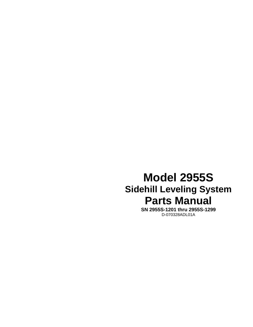# **Model 2955S Sidehill Leveling System Parts Manual**

**SN 2955S-1201 thru 2955S-1299**  D-070328ADL01A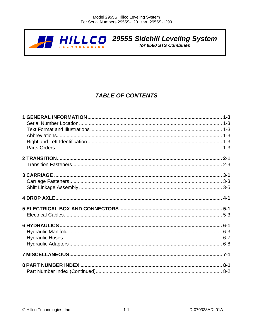

 $H\prod_{\{E\subseteq H\}} \prod_{B\subseteq E} \bigcap_{B\subseteq E}$  2955S Sidehill Leveling System

# **TABLE OF CONTENTS**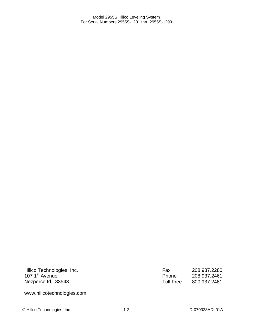Hillco Technologies, Inc. 107 1<sup>st</sup> Avenue Nezperce Id. 83543

Fax 208.937.2280<br>Phone 208.937.2461 Phone 208.937.2461 Toll Free 800.937.2461

www.hillcotechnologies.com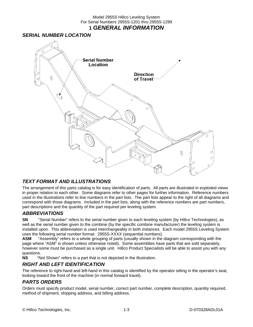#### Model 2955S Hillco Leveling System For Serial Numbers 2955S-1201 thru 2955S-1299 **1** *GENERAL INFORMATION*

#### *SERIAL NUMBER LOCATION*



#### *TEXT FORMAT AND ILLUSTRATIONS*

The arrangement of this parts catalog is for easy identification of parts. All parts are illustrated in exploded views in proper relation to each other. Some diagrams refer to other pages for further information. Reference numbers used in the illustrations refer to line numbers in the part lists. The part lists appear to the right of all diagrams and correspond with those diagrams. Included in the part lists, along with the reference numbers are part numbers, part descriptions and the quantity of the part required per leveling system.

#### *ABBREVIATIONS*

**SN** "Serial Number" refers to the serial number given to each leveling system (by Hillco Technologies), as well as the serial number given to the combine (by the specific combine manufacturer) the leveling system is installed upon. This abbreviation is used interchangeably in both instances. Each model 2955S Leveling System uses the following serial number format: 2955S-XXXX (sequential numbers).

**ASM** "Assembly" refers to a whole grouping of parts (usually shown in the diagram corresponding with the page where "ASM" is shown unless otherwise noted). Some assemblies have parts that are sold separately, however some must be purchased as a single unit. Hillco Product Specialists will be able to assist you with any questions.

**NS** "Not Shown" refers to a part that is not depicted in the illustration.

#### *RIGHT AND LEFT IDENTIFICATION*

The reference to right-hand and left-hand in this catalog is identified by the operator sitting in the operator's seat, looking toward the front of the machine (in normal forward travel).

#### *PARTS ORDERS*

Orders must specify product model, serial number, correct part number, complete description, quantity required, method of shipment, shipping address, and billing address.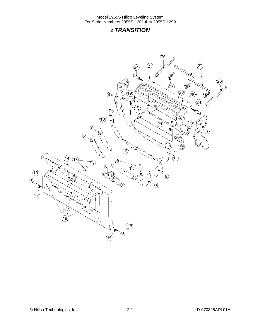## **2** *TRANSITION*

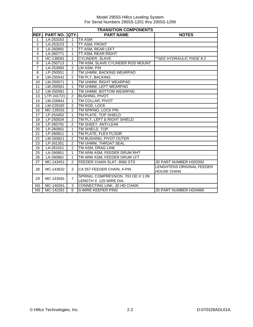|                | <b>TRANSITION COMPONENTS</b> |                |                                                               |                                                 |  |  |
|----------------|------------------------------|----------------|---------------------------------------------------------------|-------------------------------------------------|--|--|
| REF.           | <b>PART NO.</b>              | <b>QTY.</b>    | <b>PART NAME</b>                                              | <b>NOTES</b>                                    |  |  |
| 1              | LA-253163                    | $\mathbf{1}$   | <b>TA ASM</b>                                                 |                                                 |  |  |
| $\overline{2}$ | LA-253223                    | 1              | TT ASM, FRONT                                                 |                                                 |  |  |
| 3              | LA-260891                    | 1              | TT ASM, REAR LEFT                                             |                                                 |  |  |
| 4              | LA-260771                    | 1              | TT ASM, REAR RIGHT                                            |                                                 |  |  |
| $\overline{5}$ | HC-138581                    | 1              | <b>CYLINDER, SLAVE</b>                                        | **SEE HYDRAULIC PAGE 8-2                        |  |  |
| 6              | LA-250713                    | 1              | TM ASM, SLAVE CYLINDER ROD MOUNT                              |                                                 |  |  |
| $\overline{7}$ | LA-253883                    | $\overline{2}$ | LM ASM, PIN                                                   |                                                 |  |  |
| 8              | LP-250551                    | $\overline{2}$ | TM UHMW, BACKING WEARPAD                                      |                                                 |  |  |
| 9              | LM-250541                    | $\overline{2}$ | TM PLT, BACKING                                               |                                                 |  |  |
| 10             | LM-250571                    | 1              | TM UHMW, RIGHT WEARPAD                                        |                                                 |  |  |
| 11             | LM-250561                    | $\mathbf{1}$   | TM UHMW, LEFT WEARPAD                                         |                                                 |  |  |
| 12             | LM-250581                    | 1              | TM UHMW, BOTTOM WEARPAD                                       |                                                 |  |  |
| 13             | LTP-241721                   | $\overline{2}$ | <b>BUSHING, PIVOT</b>                                         |                                                 |  |  |
| 14             | LM-226841                    | 1              | TM COLLAR, PIVOT                                              |                                                 |  |  |
| 15             | LM-229192                    | $\overline{2}$ | TM ROD, LOCK                                                  |                                                 |  |  |
| 16             | MC-135531                    | $\overline{2}$ | TM SPRING, LOCK PIN                                           |                                                 |  |  |
| 17             | LP-253452                    | $\overline{1}$ | TM PLATE, TOP SHIELD                                          |                                                 |  |  |
| 18             | LP-250534                    | $\overline{2}$ | TM PLT, LEFT & RIGHT SHIELD                                   |                                                 |  |  |
| 19             | LP-260791                    | $\overline{2}$ | TM SHEET, ANTI-LEAK                                           |                                                 |  |  |
| 20             | LP-260901                    | 1              | TM SHIELD, TOP                                                |                                                 |  |  |
| 21             | LP-260911                    | 1              | TM PLATE, FLEX FLOOR                                          |                                                 |  |  |
| 22             | LM-260821                    | $\overline{2}$ | TM BUSHING, PIVOT OUTER                                       |                                                 |  |  |
| 23             | LP-261351                    | $\overline{2}$ | TM UHMW, THROAT SEAL                                          |                                                 |  |  |
| 24             | LA-261021                    | $\overline{2}$ | TM ASM, DRAG LINK                                             |                                                 |  |  |
| 25             | LA-260851                    | $\mathbf{1}$   | TM ARM ASM, FEEDER DRUM RHT                                   |                                                 |  |  |
| 26             | LA-260861                    | $\mathbf{1}$   | TM ARM ASM, FEEDER DRUM LFT                                   |                                                 |  |  |
| 27             | MC-143451                    | 2              | FEEDER CHAIN SLAT, 9560 STS                                   | JD PART NUMBER H203392                          |  |  |
| 28             | MC-143632                    | 3              | CA 557 FEEDER CHAIN, 4-PIN                                    | LENGHTENS ORIGINAL FEEDER<br><b>HOUSE CHAIN</b> |  |  |
| 29             | MC-143591                    | $\overline{7}$ | SPRING, COMPRESSION .703 OD X 1.09<br>LENGTH X .125 WIRE DIA. |                                                 |  |  |
| <b>NS</b>      | MC-140261                    | 3              | CONNECTING LINK, JD HD CHAIN                                  |                                                 |  |  |
| <b>NS</b>      | MC-142261                    | 6              | S-WIRE KEEPER PINS                                            | JD PART NUMBER H204865                          |  |  |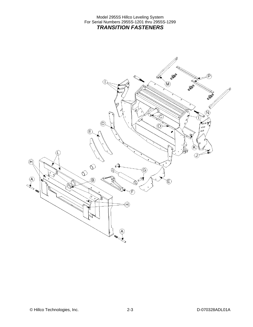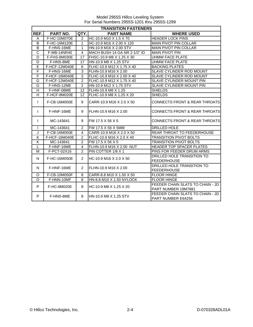|                       | <b>TRANSITION FASTENERS</b> |                |                              |                                                         |  |  |
|-----------------------|-----------------------------|----------------|------------------------------|---------------------------------------------------------|--|--|
| REF.                  | PART NO.                    | QTY.           | <b>PART NAME</b>             | <b>WHERE USED</b>                                       |  |  |
| A                     | F-HC-10M070E                | $\overline{2}$ | HC-10.9 M10 X 1.5 X 70       | <b>HEADER LOCK PINS</b>                                 |  |  |
| B                     | F-HC-16M120E                | $\mathbf{1}$   | HC-10.9 M16 X 2.00 X 120     | <b>MAIN PIVOT PIN COLLAR</b>                            |  |  |
| B                     | F-HNS-16ME                  | $\mathbf{1}$   | HN-10.9 M16 X 2.00 STV       | <b>MAIN PIVOT PIN COLLAR</b>                            |  |  |
| $\overline{\text{c}}$ | <b>F-MB-14NR40</b>          | 4              | MACH BUSH 14 GA NR 2-1/2" ID | <b>MAIN PIVOT PIN</b>                                   |  |  |
| D                     | F-FHS-8M030E                | 17             | FHSC-10.9 M8 X 1.25 X 30     | <b>UHMW FACE PLATE</b>                                  |  |  |
| D                     | F-HNS-8ME                   | 17             | HN-10.9 M8 X 1.25 STV        | <b>UHMW FACE PLATE</b>                                  |  |  |
| Ē                     | F-HCF-12M040E               | 6              | FLHC-10.9 M12 X 1.75 X 40    | <b>BACKING PLATES</b>                                   |  |  |
| F                     | F-HNS-16ME                  | 3              | FLHN-10.9 M16 X 2.00         | SLAVE CYLINDER ROD MOUNT                                |  |  |
| F                     | F-HCF-16M040E               | 3              | FLHC-10.9 M16 X 2.00 X 40    | SLAVE CYLINDER ROD MOUNT                                |  |  |
| G                     | F-HCF-12M040E               | $\overline{2}$ | FLHC-10.9 M12 X 1.75 X 40    | SLAVE CYLINDER MOUNT PIN                                |  |  |
| G                     | F-HNS-12ME                  | $\overline{2}$ | HN-10.9 M12 X 1.75 STV       | SLAVE CYLINDER MOUNT PIN                                |  |  |
| Н                     | F-HNF-08ME                  | 12             | FLHN-10.9 M8 X 1.25          | <b>SHIELDS</b>                                          |  |  |
| H                     | F-HCF-8M020E                | 12             | FLHC-10.9 M8 X 1.25 X 20     | <b>SHIELDS</b>                                          |  |  |
| $\mathsf{I}$          | F-CB-16M050E                | 9              | CARR-10.9 M16 X 2.0 X 50     | <b>CONNECTS FRONT &amp; REAR THROATS</b>                |  |  |
| $\mathsf{I}$          | F-HNF-16ME                  | 9              | FLHN-10.9 M16 X 2.00         | <b>CONNECTS FRONT &amp; REAR THROATS</b>                |  |  |
| $\mathsf{I}$          | MC-143641                   | 9              | FW 17.5 X 56 X 5             | <b>CONNECTS FRONT &amp; REAR THROATS</b>                |  |  |
| $\mathbf{I}$          | MC-143641                   | $\overline{2}$ | FW 17.5 X 56 X 5MM           | DRILLED HOLE                                            |  |  |
| J                     | F-CB-16M050E                | $\overline{4}$ | CARR-10.9 M16 X 2.0 X 50     | REAR THROAT TO FEEDERHOUSE                              |  |  |
| Κ                     | F-HCF-16M040E               | $\overline{2}$ | FLHC-10.9 M16 X 2.0 X 40     | <b>TRANSITION PIVOT BOLTS</b>                           |  |  |
| Κ                     | MC-143641                   | $\overline{2}$ | FW 17.5 X 56 X 5             | <b>TRANSITION PIVOT BOLTS</b>                           |  |  |
| $\mathsf{L}$          | F-HNF-16ME                  | $\overline{4}$ | FLHN-10.9 M16 X 2.00 NUT     | HEADER TOP SPACER PLATES                                |  |  |
| M                     | F-PCT-02X16                 | $\mathfrak{p}$ | PIN COTTER 1/8 X 1           | PINS FOR FEEDER DRUM ARMS                               |  |  |
| N                     | F-HC-16M050E                | $\overline{2}$ | HC-10.9 M16 X 2.0 X 50       | DRILLED HOLE TRANSITION TO<br><b>FEEDERHOUSE</b>        |  |  |
| N                     | F-HNF-16ME                  | $\overline{2}$ | FLHN-10.9 M16 X 2.00         | DRILLED HOLE TRANSITION TO<br><b>FEEDERHOUSE</b>        |  |  |
| O                     | F-CB-10M050F                | 8              | CARR-8.8 M10 X 1.50 X 50     | <b>FLOOR HINGE</b>                                      |  |  |
| O                     | F-HNN-10MF                  | 8              | HN-8.8 M10 X 1.50 NYLOCK     | <b>FLOOR HINGE</b>                                      |  |  |
| P                     | F-HC-8M020E                 | 8              | HC-10.9 M8 X 1.25 X 20       | FEEDER CHAIN SLATS TO CHAIN - JD<br>PART NUMBER 19M7881 |  |  |
| P                     | F-HNS-8ME                   | 8              | HN-10.9 M8 X 1.25 STV        | FEEDER CHAIN SLATS TO CHAIN - JD<br>PART NUMBER E64256  |  |  |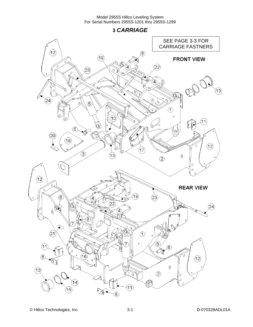**3** *CARRIAGE* 

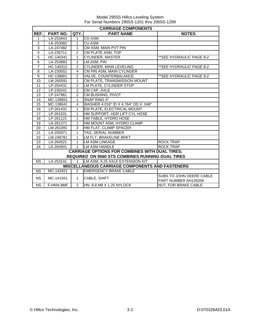|                | <b>CARRIAGE COMPONENTS</b> |                |                                                         |                                                  |  |  |  |
|----------------|----------------------------|----------------|---------------------------------------------------------|--------------------------------------------------|--|--|--|
| REF.           | PART NO.                   | QTY.           | <b>PART NAME</b>                                        | <b>NOTES</b>                                     |  |  |  |
| $\mathbf{1}$   | LA-253443                  | 1              | <b>CO ASM</b>                                           |                                                  |  |  |  |
| $\overline{c}$ | LA-253082                  | 1              | CU ASM                                                  |                                                  |  |  |  |
| 3              | LA-247482                  | 1              | CM ASM, MAIN PVT PIN                                    |                                                  |  |  |  |
| 4              | LA-235711                  | $\overline{2}$ | CM PLATE ASM, TOP                                       |                                                  |  |  |  |
| 5              | HC-140341                  | 1              | <b>CYLINDER, MASTER</b>                                 | ** SEE HYDRAULIC PAGE 8-2                        |  |  |  |
| $\overline{6}$ | LA-253883                  | $\overline{2}$ | LM ASM, PIN                                             |                                                  |  |  |  |
| $\overline{7}$ | HC-140312                  | $\overline{2}$ | <b>CYLINDER, MAIN LEVELING</b>                          | **SEE HYDRAULIC PAGE 8-2                         |  |  |  |
| 8              | LA-230552                  | 4              | CM PIN ASM, MAIN CYLINDER                               |                                                  |  |  |  |
| 9              | HC-138901                  | $\overline{2}$ | VALVE, COUNTERBALANCE                                   | **SEE HYDRAULIC PAGE 8-2                         |  |  |  |
| 10             | LM-260591                  | 1              | CM PLATE, TRANSMISSION MOUNT                            |                                                  |  |  |  |
| 11             | LP-254431                  | $\overline{2}$ | LM PLATE, CYLINDER STOP                                 |                                                  |  |  |  |
| 12             | LP-230241                  | $\overline{2}$ | CM CAP, AXLE                                            |                                                  |  |  |  |
| 13             | LP-247961                  | 2              | CM BUSHING, PIVOT                                       |                                                  |  |  |  |
| 14             | MC-138651                  | 1              | SNAP RING 4"                                            |                                                  |  |  |  |
| 15             | MC-138641                  | $\overline{4}$ | WASHER 4.016" ID X 4.764" OD X .048"                    |                                                  |  |  |  |
| 16             | LP-261431                  | 1              | EM PLATE, ELECTRICAL MOUNT                              |                                                  |  |  |  |
| 17             | LP-261531                  | 1              | HM SUPPORT, HDR LIFT CYL HOSE                           |                                                  |  |  |  |
| 18             | LP-261121                  | $\mathbf{1}$   | HM TABLE, HYDRO HOSE                                    |                                                  |  |  |  |
| 19             | LA-261371                  | 1              | HM MOUNT ASM, HYDRO CLAMP                               |                                                  |  |  |  |
| 20             | LM-261091                  | 3              | HM FLAT, CLAMP SPACER                                   |                                                  |  |  |  |
| 21             | LA-255971                  | 1              | TAG, SERIAL NUMBER                                      |                                                  |  |  |  |
| 22             | LM-248781                  | 1              | LM FLT, BRAKELINE BRKT                                  |                                                  |  |  |  |
| 23             | LA-264521                  | 1              | <b>LM ASM LINKAGE</b>                                   | <b>ROCK TRAP</b>                                 |  |  |  |
| 24             | LA-264501                  | $\mathbf{1}$   | LM ASM HANDLE                                           | <b>ROCK TRAP</b>                                 |  |  |  |
|                |                            |                | <b>CARRIAGE OPTIONS FOR COMBINES WITH DUAL TIRES;</b>   |                                                  |  |  |  |
|                |                            |                | <b>REQUIRED ON 9560 STS COMBINES RUNNING DUAL TIRES</b> |                                                  |  |  |  |
| <b>NS</b>      | LA-253141                  | $\mathbf{1}$   | LM ASM, 9.25 AXLE EXTENSION KIT                         |                                                  |  |  |  |
|                |                            |                | <b>MISCELLANEOUS CARRIAGE COMPONENTS AND FASTENERS</b>  |                                                  |  |  |  |
| <b>NS</b>      | MC-142921                  | $\mathcal{P}$  | <b>EMERGENCY BRAKE CABLE</b>                            |                                                  |  |  |  |
| <b>NS</b>      | MC-141551                  | $\mathbf{1}$   | CABLE, SHIFT                                            | SUBS TO JOHN DEERE CABLE<br>PART NUMBER AH128356 |  |  |  |
| NS.            | F-HNN-8MF                  | $\overline{2}$ | HN-8.8 M8 X 1.25 NYLOCK                                 | <b>NUT, FOR BRAKE CABLE</b>                      |  |  |  |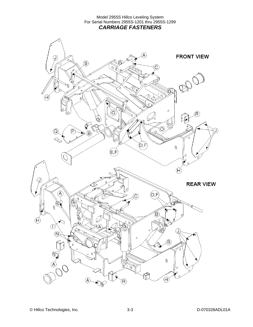Model 2955S Hillco Leveling System For Serial Numbers 2955S-1201 thru 2955S-1299 *CARRIAGE FASTENERS* 

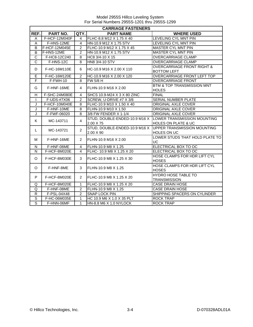|                         | <b>CARRIAGE FASTENERS</b> |                |                               |                                                           |  |  |  |
|-------------------------|---------------------------|----------------|-------------------------------|-----------------------------------------------------------|--|--|--|
| REF.                    | PART NO.                  | QTY.           | <b>PART NAME</b>              | <b>WHERE USED</b>                                         |  |  |  |
| A                       | F-HCF-12M040F             | 4              | FLHC-8.8 M12 X 1.75 X 40      | LEVELING CYL MNT PIN                                      |  |  |  |
| A                       | F-HNS-12ME                | $\overline{4}$ | HN-10.9 M12 X 1.75 STV        | <b>LEVELING CYL MNT PIN</b>                               |  |  |  |
| B                       | F-HCF-12M045E             | $\overline{2}$ | FLHC-10.9 M12 X 1.75 X 45     | <b>MASTER CYL MNT PIN</b>                                 |  |  |  |
| B                       | F-HNS-12ME                | $\overline{2}$ | HN-10.9 M12 X 1.75 STV        | <b>MASTER CYL MNT PIN</b>                                 |  |  |  |
| $\overline{C}$          | F-HC8-12C240              | 8              | HC8 3/4-10 X 15               | <b>OVERCARRIAGE CLAMP</b>                                 |  |  |  |
| $\overline{\text{c}}$   | F-HNS-12C                 | 8              | HN8 3/4-10 STV                | OVERCARRIAGE CLAMP                                        |  |  |  |
|                         | F-HC-16M110E              |                | HC-10.9 M16 X 2.00 X 110      | <b>OVERCARRIAGE FRONT RIGHT &amp;</b>                     |  |  |  |
| D                       |                           | 6              |                               | <b>BOTTOM LEFT</b>                                        |  |  |  |
| Ē                       | F-HC-16M120E              | 2              | HC-10.9 M16 X 2.00 X 120      | OVERCARRIAGE FRONT LEFT TOP                               |  |  |  |
| $\overline{\mathsf{F}}$ | F-FWH-10                  | 8              | FW 5/8 H                      | <b>OVERCARRIAGE FRONT</b>                                 |  |  |  |
| G                       | F-HNF-16ME                | 4              | FLHN-10.9 M16 X 2.00          | BTM & TOP TRANSMISSION MNT                                |  |  |  |
|                         |                           |                |                               | <b>HOLES</b>                                              |  |  |  |
| H                       | F-SHC-24M080E             | 4              | SHCS 10.9-M24 X 3 X 80 ZINC   | <b>FINAL</b>                                              |  |  |  |
| $\mathbf{I}$            | F-UDS-#7X06               | $\overline{2}$ | SCREW, U-DRIVE #7 X 3/8       | <b>SERIAL NUMBER PLATE</b>                                |  |  |  |
| J                       | F-HCF-10M040E             | 8              | FLHC-10.9 M10 X 1.50 X 40     | ORIGINAL AXLE COVER                                       |  |  |  |
| J                       | F-HNF-10ME                | 8              | FLHN-10.9 M10 X 1.50          | ORIGINAL AXLE COVER                                       |  |  |  |
| J                       | F-FWF-06020               | 8              | 3/8 FW FENDER X 1-1/4         | ORIGINAL AXLE COVER                                       |  |  |  |
| K                       | MC-143711                 | $\overline{4}$ |                               | STUD, DOUBLE-ENDED-10.9 M16 X LOWER TRANSMISSION MOUNTING |  |  |  |
|                         |                           |                | 2.00 X 75                     | <b>HOLES ON PLATE &amp; UC</b>                            |  |  |  |
| L                       | MC-143721                 | $\overline{2}$ | STUD, DOUBLE-ENDED-10.9 M16 X | <b>IUPPER TRANSMISSION MOUNTING</b>                       |  |  |  |
|                         |                           |                | 2.00 X 90                     | HOLES ON UC                                               |  |  |  |
| М                       | F-HNF-16ME                | $\overline{2}$ |                               | LOWER STUDS THAT HOLD PLATE TO                            |  |  |  |
|                         |                           |                | FLHN-10.9 M16 X 2.00          | UC                                                        |  |  |  |
| N                       | F-HNF-08ME                | 4              | FLHN-10.9 M8 X 1.25           | ELECTRICAL BOX TO OC                                      |  |  |  |
| ${\sf N}$               | F-HCF-8M020E              | 4              | FLHC- 10.9 M8 X 1.25 X 20     | ELECTRICAL BOX TO OC                                      |  |  |  |
| $\Omega$                | F-HCF-8M030E              | 3              | FLHC-10.9 M8 X 1.25 X 30      | HOSE CLAMPS FOR HDR LIFT CYL                              |  |  |  |
|                         |                           |                |                               | <b>HOSES</b>                                              |  |  |  |
| O                       | F-HNF-8ME                 | 3              | FLHN-10.9 M8 X 1.25           | HOSE CLAMPS FOR HDR LIFT CYL                              |  |  |  |
|                         |                           |                |                               | <b>HOSES</b>                                              |  |  |  |
|                         |                           | $\overline{2}$ | FLHC-10.9 M8 X 1.25 X 20      | <b>HYDRO HOSE TABLE TO</b>                                |  |  |  |
|                         | P<br>F-HCF-8M020E         |                |                               | <b>TRANSMISSION</b>                                       |  |  |  |
| Q                       | F-HCF-8M020E              | $\mathbf{1}$   | FLHC-10.9 M8 X 1.25 X 20      | <b>CASE DRAIN HOSE</b>                                    |  |  |  |
| Q                       | F-HNF-08ME                | $\overline{2}$ | FLHN-10.9 M8 X 1.25           | <b>CASE DRAIN HOSE</b>                                    |  |  |  |
| $\mathsf{R}$            | F-PSL-04X48               | $\mathfrak{p}$ | <b>SNAP LOCK PIN</b>          | SHIPPING SPACERS ON CYLINDER                              |  |  |  |
| $\overline{s}$          | F-HC-06M035E              | $\mathbf{1}$   | HC 10.9 M6 X 1.0 X 35 PLT     | <b>ROCK TRAP</b>                                          |  |  |  |
| $\overline{s}$          | F-HNN-06MF                | $\mathbf{1}$   | HN-8.8 M6 X 1.0 NYLOCK        | <b>ROCK TRAP</b>                                          |  |  |  |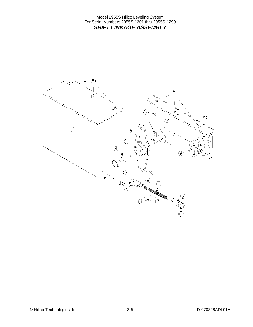Model 2955S Hillco Leveling System For Serial Numbers 2955S-1201 thru 2955S-1299 *SHIFT LINKAGE ASSEMBLY* 

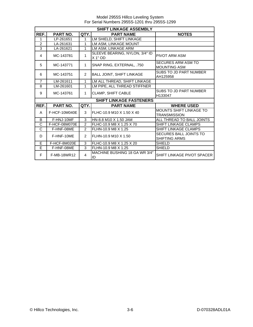| <b>SHIFT LINKAGE ASSEMBLY</b> |                    |                |                                           |                                                       |  |  |
|-------------------------------|--------------------|----------------|-------------------------------------------|-------------------------------------------------------|--|--|
| REF.                          | <b>PART NO.</b>    | QTY.           | <b>PART NAME</b>                          | <b>NOTES</b>                                          |  |  |
| 1                             | LP-261651          | 1              | LM SHIELD, SHIFT LINKAGE                  |                                                       |  |  |
| $\overline{2}$                | LA-261631          | 1              | LM ASM. LINKAGE MOUNT                     |                                                       |  |  |
| 3                             | LA-261621          | 1              | LM ASM, LINKAGE ARM                       |                                                       |  |  |
| 4                             | MC-143781          | 1              | SLEEVE BEARING, NYLON, 3/4" ID<br>X 1" OD | <b>PIVOT ARM ASM</b>                                  |  |  |
| 5                             | MC-143771          | 1              | SNAP RING, EXTERNAL, .750                 | <b>SECURES ARM ASM TO</b><br><b>MOUNTING ASM</b>      |  |  |
| 6                             | MC-143751          | 2              | <b>BALL JOINT, SHIFT LINKAGE</b>          | SUBS TO JD PART NUMBER<br>AH125958                    |  |  |
| $\overline{7}$                | LM-261611          | 1              | LM ALL THREAD, SHIFT LINKAGE              |                                                       |  |  |
| 8                             | LM-261601          | 1              | LM PIPE, ALL THREAD STIFFNER              |                                                       |  |  |
| 9                             | MC-143761          | $\mathbf{1}$   | CLAMP, SHIFT CABLE                        | SUBS TO JD PART NUMBER<br>H133047                     |  |  |
|                               |                    |                | <b>SHIFT LINKAGE FASTENERS</b>            |                                                       |  |  |
| REF.                          | PART NO.           | QTY.           | <b>PART NAME</b>                          | <b>WHERE USED</b>                                     |  |  |
| A                             | F-HCF-10M040E      | 3              | FLHC-10.9 M10 X 1.50 X 40                 | <b>MOUNTS SHIFT LINKAGE TO</b><br><b>TRANSMISSION</b> |  |  |
| B                             | F-HNJ-10MF         | 3              | HN-8.8 M10 X 1.50 JAM                     | ALL THREAD TO BALL JOINTS                             |  |  |
| C                             | F-HCF-08M070E      | $\mathfrak{p}$ | FLHC-10.9 M8 X 1.25 X 70                  | SHIFT LINKAGE CLAMPS                                  |  |  |
| C                             | F-HNF-08ME         | $\mathcal{P}$  | FLHN-10.9 M8 X 1.25                       | <b>SHIFT LINKAGE CLAMPS</b>                           |  |  |
| D                             | F-HNF-10ME         | $\mathcal{P}$  | FLHN-10.9 M10 X 1.50                      | <b>SECURES BALL JOINTS TO</b><br>SHIFTING ARMS        |  |  |
| E                             | F-HCF-8M020E       | 3              | FLHC-10.9 M8 X 1.25 X 20                  | <b>SHIELD</b>                                         |  |  |
| E                             | F-HNF-08ME         | 3              | FLHN-10.9 M8 X 1.25                       | <b>SHIELD</b>                                         |  |  |
| F                             | <b>F-MB-18WR12</b> | $\overline{4}$ | MACHINE BUSHING 18 GA WR 3/4"<br>ID       | SHIFT LINKAGE PIVOT SPACER                            |  |  |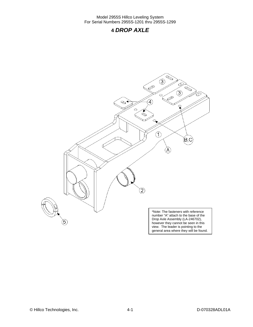### **4** *DROP AXLE*



© Hillco Technologies, Inc. 2008 12-1 4-1 D-070328ADL01A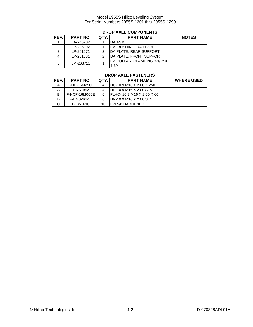|                | <b>DROP AXLE COMPONENTS</b> |      |                              |                   |  |  |  |
|----------------|-----------------------------|------|------------------------------|-------------------|--|--|--|
| REF.           | <b>PART NO.</b>             | QTY. | <b>PART NAME</b>             | <b>NOTES</b>      |  |  |  |
|                | LA-246702                   |      | DA ASM                       |                   |  |  |  |
| $\mathfrak{p}$ | LP-235092                   |      | LM BUSHING, DA PIVOT         |                   |  |  |  |
| 3              | LP-261671                   | 2    | DA PLATE, REAR SUPPORT       |                   |  |  |  |
| 4              | LP-261681                   | 2    | DA PLATE, FRONT SUPPORT      |                   |  |  |  |
| 5              | LM-263711                   |      | LM COLLAR, CLAMPING 3-1/2" X |                   |  |  |  |
|                |                             |      | $4 - 3/4"$                   |                   |  |  |  |
|                |                             |      |                              |                   |  |  |  |
|                |                             |      | <b>DROP AXLE FASTENERS</b>   |                   |  |  |  |
| REF.           | PART NO.                    | QTY. | <b>PART NAME</b>             | <b>WHERE USED</b> |  |  |  |
| A              | F-HC-16M250E                | 4    | HC-10.9 M16 X 2.00 X 250     |                   |  |  |  |
| Α              | F-HNS-16ME                  | 4    | HN-10.9 M16 X 2.00 STV       |                   |  |  |  |
| B              | F-HCF-16M060E               | 6    | FLHC- 10.9 M16 X 2.00 X 60   |                   |  |  |  |
| B              | F-HNS-16ME                  | 6    | HN-10.9 M16 X 2.00 STV       |                   |  |  |  |
| C              | $F-FWH-10$                  | 10   | FW 5/8 HARDENED              |                   |  |  |  |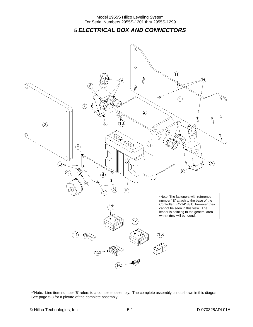**5** *ELECTRICAL BOX AND CONNECTORS* 



\*\*Note: Line item number '5' refers to a complete assembly. The complete assembly is not shown in this diagram. See page 5-3 for a picture of the complete assembly.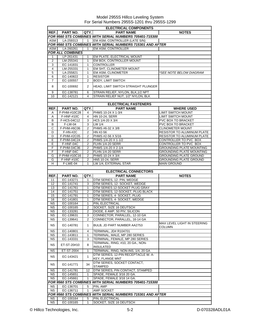|                        | <b>ELECTRICAL COMPONENTS</b> |                         |                                                                                        |                                   |  |  |
|------------------------|------------------------------|-------------------------|----------------------------------------------------------------------------------------|-----------------------------------|--|--|
| REF.I                  | <b>PART NO.</b>              | QTY.                    | <b>PART NAME</b>                                                                       | <b>NOTES</b>                      |  |  |
|                        |                              |                         | <b>FOR 9560 STS COMBINES WITH SERIAL NUMBERS 705401-715300</b>                         |                                   |  |  |
| ASM                    | LA-259313                    | $\mathbf{1}$            | EM ASM, CONTROLLER (LATE S/N)                                                          |                                   |  |  |
|                        |                              |                         | FOR 9560 STS COMBINES WITH SERIAL NUMBERS 715301 AND AFTER                             |                                   |  |  |
| <b>ASM</b>             | LA-260261                    | $\mathbf 1$             | <b>EM ASM. CONTROLLER</b>                                                              |                                   |  |  |
|                        | <b>FOR ALL COMBINES</b>      |                         |                                                                                        |                                   |  |  |
| 1                      | LP-261431                    | 1                       | EM PLATE, ELECTRICAL MOUNT                                                             |                                   |  |  |
| 2                      | LM-255341                    | 1                       | EM BOX, CONTROLLER MOUNT                                                               |                                   |  |  |
| 3                      | EC-141831                    | $\mathbf{1}$            | <b>CONTROLLER</b>                                                                      |                                   |  |  |
| 4                      | LM-255331                    | $\mathbf{1}$            | EM SHT, CLINOMETER MOUNT                                                               |                                   |  |  |
| 5                      | LA-255821                    | $\mathbf{1}$            | <b>EM ASM, CLINOMETER</b>                                                              | *SEE NOTE BELOW DIAGRAM           |  |  |
| 6                      | EC-140822                    | $\mathbf{1}$            | <b>RESISTOR</b>                                                                        |                                   |  |  |
| 7                      | EC-100557                    | 2                       | <b>BODY, LIMIT SWITCH</b>                                                              |                                   |  |  |
| 8                      | EC-100692                    | 2                       | HEAD, LIMIT SWITCH STRAIGHT PLUNGER                                                    |                                   |  |  |
|                        |                              |                         |                                                                                        |                                   |  |  |
| 9                      | EC-138781                    | 6                       | STRAIN RELIEF, NYLON, BLK, 1/2 NPT                                                     |                                   |  |  |
| 10                     | EC-142121                    | $\overline{\mathbf{4}}$ | STRAIN RELIEF NUT, 1/2" NYLON, BLK                                                     |                                   |  |  |
|                        |                              |                         |                                                                                        |                                   |  |  |
|                        |                              |                         | <b>ELECTRICAL FASTENERS</b>                                                            |                                   |  |  |
| REF.                   | <b>PART NO.</b>              | QTY.                    | <b>PART NAME</b>                                                                       | <b>WHERE USED</b>                 |  |  |
| Α                      | F-PHM-#10C28                 | 4                       | PHMS 10-24 X 1-3/4                                                                     | <b>LIMIT SWITCH MOUNT</b>         |  |  |
| Α                      | <b>F-HNF-#10C</b>            | $\overline{4}$          | HN 10-24, SERR                                                                         | <b>LIMIT SWITCH MOUNT</b>         |  |  |
| В                      | F-HC5-04C12                  | 3                       | HC5 1/4-20 X 3/4                                                                       | PVC BOX TO BRACKET                |  |  |
| В                      | $\overline{F}$ -LW-04        | 3                       | LW 1/4                                                                                 | PVC BOX TO BRACKET                |  |  |
| С                      | F-PHM-#6C06                  | 2                       | PHMS #6-32 X 3/8                                                                       | <b>CLINOMETER MOUNT</b>           |  |  |
| D                      | $F-HN-#2C$                   | 2                       | $HN$ #2-56                                                                             | <b>RESISTOR TO ALUMINUM PLATE</b> |  |  |
| D                      | F-PHM-#2C05                  | $\overline{2}$          | PHMS #2-56 X 5/16                                                                      | <b>RESISTOR TO ALUMINUM PLATE</b> |  |  |
| Е                      | F-PHM-04C24                  | 2                       | PHMS 1/4-20 X 1-1/2                                                                    | CONTROLLER TO PVC BOX             |  |  |
| E                      | $\overline{F}$ -HNF-04C      | 2                       | FLHN 1/4-20 SERR                                                                       | CONTROLLER TO PVC BOX             |  |  |
| F                      | F-PHM-04C36                  | 2                       | PHMS 1/4-20 X 2-1/4                                                                    | <b>GROUNDING PLATE MOUNTING</b>   |  |  |
| F                      | F-HNF-04C                    | 2                       | <b>FLHN 1/4-20 SERR</b>                                                                | <b>GROUNDING PLATE MOUNTING</b>   |  |  |
| G                      | F-PHM-#10C16                 | $\overline{2}$          | PHMS 10-24 X 3/4                                                                       | <b>GROUNDING PLATE GROUND</b>     |  |  |
| G                      | F-HNF-#10C                   | 2                       | <b>HN5 10-24, SERR</b>                                                                 | <b>GROUNDING PLATE GROUND</b>     |  |  |
| н                      | F-LWE-04                     | 1                       | LW 1/4, EXTERNAL STAR                                                                  | <b>MAIN GROUND</b>                |  |  |
|                        |                              |                         |                                                                                        |                                   |  |  |
|                        |                              |                         | <b>ELECTRICAL CONNECTORS</b>                                                           |                                   |  |  |
| REF.                   | PART NO.                     | QTY.l                   | <b>PART NAME</b>                                                                       | <b>NOTES</b>                      |  |  |
| 11                     | EC-143271                    | 1                       | DTM SERIES, 12- PIN, WEDGE                                                             |                                   |  |  |
| 12                     | EC-141741                    |                         | DTM SERIES, 12- SOCKET, WEDGE                                                          |                                   |  |  |
| 13                     |                              | 3                       |                                                                                        |                                   |  |  |
|                        | EC-141761                    | $\mathbf{1}$            | DTM SERIES 12-SOCKET PLUG GRAY                                                         |                                   |  |  |
| 14                     | EC-141751                    | 2                       | DTM SERIES, 12-SOCKET, PLUG BLACK                                                      |                                   |  |  |
| 15                     | EC-141791                    | $\mathbf{1}$            | DTM SERIES, 4- SOCKET, PLUG                                                            |                                   |  |  |
| 16                     | EC-141801                    | 1                       | DTM SERIES, 4- SOCKET, WEDGE                                                           |                                   |  |  |
| <b>NS</b>              | EC-100164                    | $\mathbf{1}$            | PIN. ELECTRICAL                                                                        |                                   |  |  |
| <b>NS</b>              | EC-100165                    | $\overline{2}$          | SOCKET, SIZE 16 DEUTSCH                                                                |                                   |  |  |
| <b>NS</b>              | EC-133281                    | $\overline{2}$          | DIODE, 6 AMP, 50 PIV, SILICON                                                          |                                   |  |  |
| ΝS                     | EC-139631                    | 3                       | CONNECTOR, PARALLEL, 12-10 GA                                                          |                                   |  |  |
| ΝS                     | EC-139641                    | 2                       | CONNECTOR, PARALLEL, 16-14 GA                                                          |                                   |  |  |
| ΝS                     | EC-140781                    | $\mathbf{1}$            | BULB, JD PART NUMBER AA2753                                                            | MAX LEVEL LIGHT IN STEERING       |  |  |
|                        |                              |                         |                                                                                        | COLUMN                            |  |  |
| NS.                    | EC-140801                    | $\overline{4}$          | <b>TERMINAL, JD# R104701</b>                                                           |                                   |  |  |
| <b>NS</b>              | EC-143811                    | $\mathbf{1}$            | TERMINAL, MALE, MP 280 SERIES                                                          |                                   |  |  |
| ΝS                     | EC-143331                    | 3                       | TERMINAL, FEMALE, MP 280 SERIES                                                        |                                   |  |  |
| NS.                    | ET-ST-20#10                  | 8                       | TERMINAL, RING, #10, 20 GA., NON-                                                      |                                   |  |  |
|                        |                              |                         | <b>INSULATED</b>                                                                       |                                   |  |  |
| ΝS                     | ET-ST-2004                   | $\mathbf{1}$            | TERMINAL, RING, NON-INS, 1/4, 20 GA                                                    |                                   |  |  |
| NS.                    | EC-143421                    | $\mathbf{1}$            | DTM SERIES, 12-PIN RECEPTACLE W. A-                                                    |                                   |  |  |
|                        |                              |                         | <b>KEY, FLANGE MNT</b>                                                                 |                                   |  |  |
| ΝS                     | EC-141771                    | 34                      | DTM SERIES, SOCKET CONTACT,                                                            |                                   |  |  |
|                        |                              |                         | <b>STAMPED</b>                                                                         |                                   |  |  |
| ΝS                     | EC-141781                    | 12<br>$\mathbf{1}$      | DTM SERIES, PIN CONTACT, STAMPED                                                       |                                   |  |  |
| <b>NS</b><br><b>NS</b> | EC-145651                    | $\mathbf{1}$            | SPADE, FEMALE 3/16 20 GA.                                                              |                                   |  |  |
|                        | EC-145661                    |                         | SPADE, FEMALE 3/16 14 GA.                                                              |                                   |  |  |
| NS                     | EC-136701                    | 5                       | FOR 9560 STS COMBINES WITH SERIAL NUMBERS 705401-715300<br>PIN, AMP                    |                                   |  |  |
| ΝS                     | EC-136711                    | $\mathbf{1}$            |                                                                                        |                                   |  |  |
|                        |                              |                         | <b>AMP SOCKET</b><br><b>FOR 9560 STS COMBINES WITH SERIAL NUMBERS 715301 AND AFTER</b> |                                   |  |  |
| <b>NS</b>              | EC-100164                    | 5                       | PIN, ELECTRICAL                                                                        |                                   |  |  |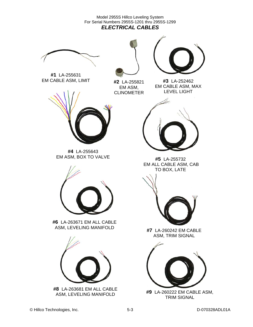Model 2955S Hillco Leveling System For Serial Numbers 2955S-1201 thru 2955S-1299 *ELECTRICAL CABLES* 





**#1** LA-255631 EM CABLE ASM, LIMIT **#2** | A-255821 **#3** LA-252462

**#2** LA-255821 EM ASM, CLINOMETER

EM CABLE ASM, MAX LEVEL LIGHT



**#4** LA-255643 EM ASM, BOX TO VALVE



**#6** LA-263671 EM ALL CABLE ASM, LEVELING MANIFOLD **#7** LA-260242 EM CABLE



ASM, LEVELING MANIFOLD



**#5** LA-255732 EM ALL CABLE ASM, CAB TO BOX, LATE



ASM, TRIM SIGNAL



**#9** LA-260222 EM CABLE ASM, TRIM SIGNAL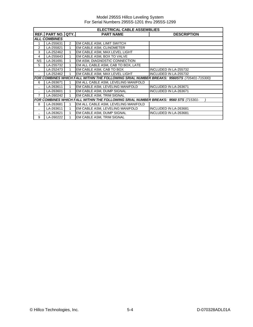|           | <b>ELECTRICAL CABLE ASSEMBLIES</b> |                |                                                                                           |                              |  |  |  |  |
|-----------|------------------------------------|----------------|-------------------------------------------------------------------------------------------|------------------------------|--|--|--|--|
|           | REF. PART NO. QTY.                 |                | <b>PART NAME</b>                                                                          | <b>DESCRIPTION</b>           |  |  |  |  |
|           | <b>ALL COMBINES</b>                |                |                                                                                           |                              |  |  |  |  |
|           | LA-255631                          | $\overline{2}$ | EM CABLE ASM, LIMIT SWITCH                                                                |                              |  |  |  |  |
| 2         | LA-255821                          |                | EM CABLE ASM, CLINOMETER                                                                  |                              |  |  |  |  |
| 3         | LA-252462                          | 1              | EM CABLE ASM, MAX LEVEL LIGHT                                                             |                              |  |  |  |  |
| 4         | LA-255643                          | 1              | EM CABLE ASM, BOX TO VALVE                                                                |                              |  |  |  |  |
| NS.       | LA-261691                          |                | EM ASM, DIAGNOSTIC CONNECTION                                                             |                              |  |  |  |  |
| 5         | LA-255732                          |                | EM ALL CABLE ASM, CAB TO BOX, LATE                                                        |                              |  |  |  |  |
|           | LA-252473                          | 1              | EM CABLE ASM, CAB TO BOX                                                                  | <b>INCLUDED IN LA-255732</b> |  |  |  |  |
|           | LA-252462                          | 1              | EM CABLE ASM. MAX LEVEL LIGHT                                                             | <b>INCLUDED IN LA-255732</b> |  |  |  |  |
|           |                                    |                | FOR COMBINES WHICH FALL WITHIN THE FOLLOWING SRIAL NUMBER BREAKS: 9560STS (705401-715300) |                              |  |  |  |  |
| 6         | LA-263671                          |                | EM ALL CABLE ASM, LEVELING MANIFOLD                                                       |                              |  |  |  |  |
| $\ddotsc$ | LA-263611                          | 1              | EM CABLE ASM, LEVELING MANIFOLD                                                           | <b>INCLUDED IN LA-263671</b> |  |  |  |  |
| $\ddotsc$ | LA-263601                          |                | EM CABLE ASM, DUMP SIGNAL                                                                 | INCLUDED IN LA-263671        |  |  |  |  |
| 7         | LA-260242                          | 1              | EM CABLE ASM, TRIM SIGNAL                                                                 |                              |  |  |  |  |
|           |                                    |                | FOR COMBINES WHICH FALL WITHIN THE FOLLOWING SRIAL NUMBER BREAKS: 9560 STS (715301-       |                              |  |  |  |  |
| 8         | LA-263681                          |                | EM ALL CABLE ASM, LEVELING MANIFOLD                                                       |                              |  |  |  |  |
|           | LA-263611                          |                | EM CABLE ASM, LEVELING MANIFOLD                                                           | <b>INCLUDED IN LA-263681</b> |  |  |  |  |
| $\ddotsc$ | LA-263621                          |                | EM CABLE ASM, DUMP SIGNAL                                                                 | <b>INCLUDED IN LA-263681</b> |  |  |  |  |
| 9         | LA-260222                          |                | EM CABLE ASM, TRIM SIGNAL                                                                 |                              |  |  |  |  |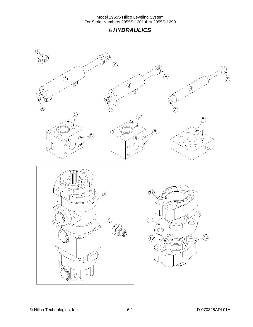### **6** *HYDRAULICS*

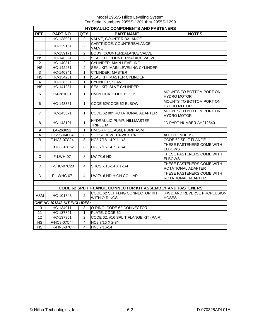|                        | <b>HYDRAULIC COMPONENTS AND FASTENERS</b> |                |                                                           |                                                 |  |  |  |
|------------------------|-------------------------------------------|----------------|-----------------------------------------------------------|-------------------------------------------------|--|--|--|
| REF.                   | PART NO.                                  | QTY.           | <b>PART NAME</b>                                          | <b>NOTES</b>                                    |  |  |  |
| $\mathbf{1}$           | HC-138901                                 | 2              | <b>VALVE, COUNTER BALANCE</b>                             |                                                 |  |  |  |
|                        | HC-139161                                 | $\overline{2}$ | CARTRIDGE, COUNTERBALANCE                                 |                                                 |  |  |  |
| $\ddot{\phantom{a}}$   |                                           |                | VALVE                                                     |                                                 |  |  |  |
|                        | HC-139171                                 | $\overline{2}$ | BODY, COUNTERBALANCE VALVE                                |                                                 |  |  |  |
| <b>NS</b>              | HC-140361                                 | $\overline{2}$ | SEAL KIT, COUNTERBALACE VALVE                             |                                                 |  |  |  |
| $\overline{2}$         | HC-140312                                 | $\overline{c}$ | <b>CYLINDER, MAIN LEVELING</b>                            |                                                 |  |  |  |
| <b>NS</b>              | HC-142451                                 | $\overline{2}$ | SEAL KIT, MAIN LEVELING CYLINDER                          |                                                 |  |  |  |
| 3                      | HC-140341                                 | 1              | <b>CYLINDER, MASTER</b>                                   |                                                 |  |  |  |
| <b>NS</b>              | HC-134201                                 | $\mathbf{1}$   | SEAL KIT, MASTER CYLINDER                                 |                                                 |  |  |  |
| 4                      | HC-138581                                 | $\mathbf{1}$   | CYLINDER, SLAVE                                           |                                                 |  |  |  |
| $\overline{\text{NS}}$ | HC-141281                                 | 1              | <b>SEAL KIT, SLVE CYLINDER</b>                            |                                                 |  |  |  |
| 5                      | LM-261081                                 | $\mathbf{1}$   | HM BLOCK, CODE 62 90°                                     | MOUNTS TO BOTTOM PORT ON<br><b>HYDRO MOTOR</b>  |  |  |  |
| 6                      | HC-143361                                 | $\mathbf{1}$   | CODE 62/CODE 62 ELBOW                                     | MOUNTS TO BOTTOM PORT ON<br><b>HYDRO MOTOR</b>  |  |  |  |
| $\overline{7}$         | HC-143371                                 | $\mathbf 1$    | CODE 62 90° ROTATIONAL ADAPTER                            | MOUNTS TO BOTTOM PORT ON<br><b>HYDRO MOTOR</b>  |  |  |  |
| 8                      | HC-143101                                 | $\mathbf{1}$   | HYDRAULIC PUMP, HILLMASTER,<br><b>TRIPLE M</b>            | JD PART NUMBER AH212540                         |  |  |  |
| 9                      | LA-263651                                 | $\mathbf{1}$   | HM ORIFICE ASM, PUMP ASM                                  |                                                 |  |  |  |
| A                      | F-SSS-04F04                               | 8              | SET SCREW, 1/4-28 X 1/4                                   | ALL CYLINDERS                                   |  |  |  |
| B                      | F-HC8-07C24                               | 8              | HC8 7/16-14 X 1-1/2                                       | CODE 62 SPLT FLANGE                             |  |  |  |
| C                      | F-HC8-07C52                               | 8              | HC8 7/16-14 X 3-1/4                                       | THESE FASTENERS COME WITH<br><b>ELBOWS</b>      |  |  |  |
| $\mathsf{C}$           | F-LWH-07                                  | 8              | LW 7/16 HD                                                | THESE FASTENERS COME WITH<br><b>ELBOWS</b>      |  |  |  |
| D                      | F-SHC-07C20                               | 4              | SHCS 7/16-14 X 1-1/4                                      | THESE FASTENERS COME WITH<br>ROTATIONAL ADAPTER |  |  |  |
| D                      | F-LWHC-07                                 | 4              | LW 7/16 HD HIGH COLLAR                                    | THESE FASTENERS COME WITH<br>ROTATIONAL ADAPTER |  |  |  |
|                        |                                           |                |                                                           |                                                 |  |  |  |
|                        |                                           |                | CODE 62 SPLIT FLANGE CONNECTOR KIT ASSEMBLY AND FASTENERS |                                                 |  |  |  |
| <b>ASM</b>             | HC-101843                                 | $\overline{2}$ | CODE 62 SLT FLNG CONNECTOR KIT<br>WITH O-RINGS            | FWD AND REVERSE PROPULSION<br><b>HOSES</b>      |  |  |  |
|                        | ONE HC-101843 KIT INCLUDES:               |                |                                                           |                                                 |  |  |  |
| 10                     | HC-134911                                 | 3              | O-RING, CODE 62 CONNECTOR                                 |                                                 |  |  |  |
| 11                     | HC-137891                                 | $\mathbf{1}$   | PLATE, CODE 62                                            |                                                 |  |  |  |
| 12                     | HC-137901                                 | $\overline{2}$ | CODE 62, #16 SPLIT FLANGE KIT (PAIR)                      |                                                 |  |  |  |
| <b>NS</b>              | F-HC8-07C44                               | 4              | HC8 7/16 X 2-3/4                                          |                                                 |  |  |  |
| $\overline{\text{NS}}$ | F-HN8-07C                                 | $\overline{4}$ | HN8 7/16-14                                               |                                                 |  |  |  |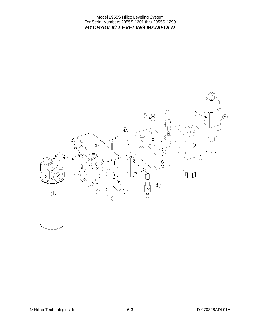Model 2955S Hillco Leveling System For Serial Numbers 2955S-1201 thru 2955S-1299 *HYDRAULIC LEVELING MANIFOLD* 

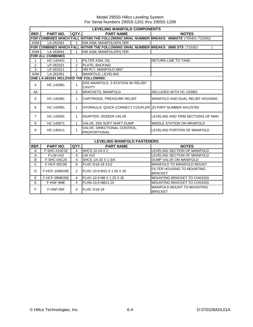|                | <b>LEVELING MANIFOLD COMPONENTS</b>   |                          |                                                                                           |                                                     |  |  |  |
|----------------|---------------------------------------|--------------------------|-------------------------------------------------------------------------------------------|-----------------------------------------------------|--|--|--|
| REF.           | PART NO.                              | QTY.                     | <b>PART NAME</b>                                                                          | <b>NOTES</b>                                        |  |  |  |
|                |                                       |                          | FOR COMBINES WHICH FALL WITHIN THE FOLLOWING SRIAL NUMBER BREAKS: 9560STS (705401-715300) |                                                     |  |  |  |
| ASM            | LA-263361                             | $\mathbf{1}$             | HM ASM, MANIFOLD/FILTER                                                                   |                                                     |  |  |  |
|                |                                       |                          | FOR COMBINES WHICH FALL WITHIN THE FOLLOWING SRIAL NUMBER BREAKS: 9560 STS (715301-       |                                                     |  |  |  |
| ASM            | LA-263691                             | $\mathbf{1}$             | HM ASM, MANIFOLD/FILTER                                                                   |                                                     |  |  |  |
|                | <b>FOR ALL COMBINES</b>               |                          |                                                                                           |                                                     |  |  |  |
| 1              | HC-143441                             | $\mathbf{1}$             | FILTER ASM, OIL                                                                           | RETURN LINE TO TANK                                 |  |  |  |
| $\overline{2}$ | LP-263321                             | $\overline{2}$           | PLATE, BACKING                                                                            |                                                     |  |  |  |
| $\overline{3}$ | LP-263311                             | $\mathbf{1}$             | HM PLT, MANIFOLD MNT                                                                      |                                                     |  |  |  |
| <b>ASM</b>     | LA-263261                             | $\mathbf{1}$             | MANIFOLD, LEVELING                                                                        |                                                     |  |  |  |
|                | ONE LA-263261 INCLDUED THE FOLLOWING: |                          |                                                                                           |                                                     |  |  |  |
| $\overline{4}$ | HC-143981                             | $\mathbf{1}$             | DO5 MANIFOLD, 2-STATION W/ RELIEF<br><b>CAVITY</b>                                        |                                                     |  |  |  |
| 4A             |                                       | 2                        | <b>BRACKETS, MANIFOLD</b>                                                                 | INCLUDED WITH HC-143981                             |  |  |  |
| 5              | HC-142991                             | $\mathbf{1}$             | CARTRIDGE, PRESSURE RELIEF                                                                | MANIFOLD AND DUAL RELIEF HOUSING                    |  |  |  |
| 6              | HC-143991                             | $\mathbf{1}$             | HYDRAULIC QUICK-CONNECT COUPLER JJD PART NUMBER AH125760                                  |                                                     |  |  |  |
| $\overline{7}$ | HC-143001                             | $\mathbf{1}$             | ADAPTER, D03/D05 VALVE                                                                    | LEVELING AND TRIM SECTIONS OF MAN                   |  |  |  |
| 8              | HC-143071                             | $\mathbf{1}$             | VALVE, D05 SOFT SHIFT DUMP                                                                | <b>MIDDLE STATION ON MANIFOLD</b>                   |  |  |  |
| 9              | HC-140411                             | 1                        | VALVE, DIRECTIONAL CONTROL,<br><b>PROPORTIONAL</b>                                        | LEVELING PORTION OF MANIFOLD                        |  |  |  |
|                |                                       |                          |                                                                                           |                                                     |  |  |  |
|                |                                       |                          | <b>LEVELING MANIFOLD FASTENERS</b>                                                        |                                                     |  |  |  |
| REF.           | PART NO.                              | QTY.                     | <b>PART NAME</b>                                                                          | <b>NOTES</b>                                        |  |  |  |
| A              | F-SHC-#10C32                          | $\overline{\mathcal{A}}$ | SHCS 10-24 X 2                                                                            | LEVELING SECTION OF MANIFOLD                        |  |  |  |
| A              | F-LW-#10                              | $\overline{4}$           | LW #10                                                                                    | LEVELING SECTION OF MANIFOLD                        |  |  |  |
| B              | F-SHC-04C28                           | $\overline{4}$           | SHCS 1/4-20 X 1-3/4                                                                       | DUMP VALVE ON MANIFOLD                              |  |  |  |
| $\mathsf{C}$   | F-HCF-05C08                           | 8                        | FLHC 5/16-18 X1/2                                                                         | MANIFOLD TO MANIFOLD MOUNT                          |  |  |  |
| D              | F-HCF-10M020E                         | $\mathfrak{p}$           | FLHC-10.9 M10 X 1.50 X 20                                                                 | FILTER HOUSING TO MOUNTING<br><b>BRACKET</b>        |  |  |  |
| E.             | F-HCF-08M035E                         | $\overline{4}$           | FLHC-10.9 M8 X 1.25 X 35                                                                  | <b>MOUNTING BRACKET TO CHASSIS</b>                  |  |  |  |
| E              | F-HNF-8ME                             | $\overline{4}$           | FLHN-10.9 M8X1.25                                                                         | <b>MOUNTING BRACKET TO CHASSIS</b>                  |  |  |  |
| F              | F-HNF-05F                             | $\overline{4}$           | FLHC 5/16-18                                                                              | <b>MANIFOLD MOUNT TO MOUNTING</b><br><b>BRACKET</b> |  |  |  |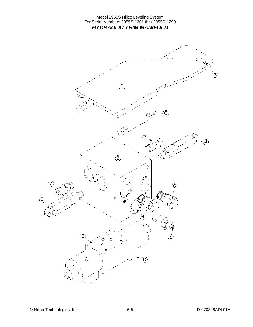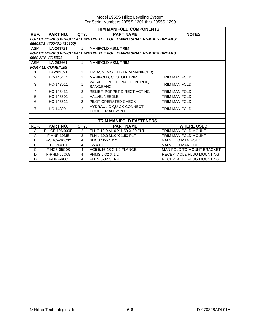|                | TRIM MANIFOLD COMPONENTS                                          |                |                                                                   |                                  |  |  |
|----------------|-------------------------------------------------------------------|----------------|-------------------------------------------------------------------|----------------------------------|--|--|
| REF.           | <b>PART NO.</b>                                                   | QTY.           | <b>PART NAME</b>                                                  | <b>NOTES</b>                     |  |  |
|                | FOR COMBINES WHICH FALL WITHIN THE FOLLOWING SRIAL NUMBER BREAKS: |                |                                                                   |                                  |  |  |
|                | 9560STS (705401-715300)                                           |                |                                                                   |                                  |  |  |
| ASM            | LA-263721                                                         | $\mathbf{1}$   | MANIFOLD ASM, TRIM                                                |                                  |  |  |
|                |                                                                   |                | FOR COMBINES WHICH FALL WITHIN THE FOLLOWING SRIAL NUMBER BREAKS: |                                  |  |  |
|                | 9560 STS (715301-                                                 |                |                                                                   |                                  |  |  |
| ASM            | LA-263661                                                         | 1              | MANIFOLD ASM, TRIM                                                |                                  |  |  |
|                | <b>FOR ALL COMBINES</b>                                           |                |                                                                   |                                  |  |  |
| 1              | LA-263521                                                         | 1              | HM ASM, MOUNT (TRIM MANIFOLD)                                     |                                  |  |  |
| 2              | HC-145441                                                         | 1              | MANIFOLD, CUSTOM TRIM                                             | <b>TRIM MANIFOLD</b>             |  |  |
| 3              | HC-143011                                                         | 1              | VALVE, DIRECTIONAL CONTROL,<br><b>BANG/BANG</b>                   | TRIM MANIFOLD                    |  |  |
| 4              | HC-145431                                                         | $\mathcal{P}$  | RELIEF, POPPET DIRECT ACTING                                      | TRIM MANIFOLD                    |  |  |
| 5              | HC-145501                                                         | 1              | VALVE, NEEDLE                                                     | TRIM MANIFOLD                    |  |  |
| 6              | HC-145511                                                         | $\mathcal{P}$  | PILOT OPERATED CHECK                                              | TRIM MANIFOLD                    |  |  |
| $\overline{7}$ | HC-143991                                                         | $\overline{2}$ | <b>HYDRAULIC QUICK-CONNECT</b><br>COUPLER AH125760                | TRIM MANIFOLD                    |  |  |
|                |                                                                   |                |                                                                   |                                  |  |  |
|                |                                                                   |                | <b>TRIM MANIFOLD FASTENERS</b>                                    |                                  |  |  |
| REF.           | PART NO.                                                          | QTY.           | <b>PART NAME</b>                                                  | <b>WHERE USED</b>                |  |  |
| A              | F-HCF-10M030E                                                     | $\overline{2}$ | FLHC 10.9 M10 X 1.50 X 30 PLT                                     | TRIM MANIFOLD MOUNT              |  |  |
| A              | F-HNF-10ME                                                        | $\overline{2}$ | FLHN-10.9 M10 X 1.50 PLT                                          | TRIM MANIFOLD MOUNT              |  |  |
| B              | F-SHC-#10C32                                                      | 4              | SHCS 10-24 X 2                                                    | VALVE TO MANIFOLD                |  |  |
| B              | F-LW-#10                                                          | 4              | LW #10                                                            | VALVE TO MANIFOLD                |  |  |
| $\overline{C}$ | F-HC5-05C08                                                       | 4              | HC5 5/16-18 X 1/2 FLANGE                                          | <b>MANIFOLD TO MOUNT BRACKET</b> |  |  |
| D              | F-PHM-#6C08                                                       | 4              | PHMS 6-32 X 1/2                                                   | RECEPTACLE PLUG MOUNTING         |  |  |

D F-HNF-#6C | 4 FLHN 6-32 SERR. RECEPTACLE PLUG MOUNTING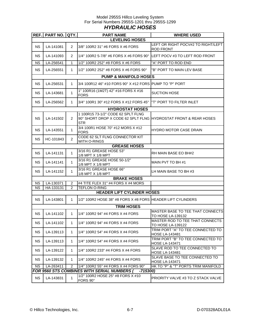#### Model 2955S Hillco Leveling System For Serial Numbers 2955S-1201 thru 2955S-1299 *HYDRAULIC HOSES*

|           | <b>REF.</b> PART NO. QTY.        |                | <b>PART NAME</b>                                                              | <b>WHERE USED</b>                                          |  |  |  |  |
|-----------|----------------------------------|----------------|-------------------------------------------------------------------------------|------------------------------------------------------------|--|--|--|--|
|           | <b>LEVELING HOSES</b>            |                |                                                                               |                                                            |  |  |  |  |
| <b>NS</b> | LA-141081                        | $\overline{2}$ | 3/8" 100R2 31" #6 FORS X #6 FORS                                              | LEFT OR RIGHT POCV#2 TO RIGHT/LEFT<br><b>ROD FRONT</b>     |  |  |  |  |
| <b>NS</b> | LA-141093                        | $\overline{2}$ | 1/4" 100R2 5-7/8" #6 FORS X #6 FORS 90° LEFT POCV #3 TO LEFT ROD FRONT        |                                                            |  |  |  |  |
| <b>NS</b> | LA-256541                        | $\mathbf{1}$   | 1/2" 100R2 252" #8 FORS X #6 FORS                                             | "A" PORT TO ROD END                                        |  |  |  |  |
| <b>NS</b> | LA-256551                        | 1              | 1/2" 100R2 252" #8 FORS X #6 FORS 90°                                         | "B" PORT TO MAIN LEV BASE                                  |  |  |  |  |
|           | <b>PUMP &amp; MANIFOLD HOSES</b> |                |                                                                               |                                                            |  |  |  |  |
| <b>NS</b> | LA-256531                        | 1              | 3/4 100R12 46" #10 FORS 90° X #12 FORS PUMP TO "P" PORT                       |                                                            |  |  |  |  |
| <b>NS</b> | LA-143681                        | $\mathbf{1}$   | 1" 100R16 (1M2T) 42" #16 FORS X #16<br><b>FORS</b>                            | <b>SUCTION HOSE</b>                                        |  |  |  |  |
| <b>NS</b> | LA-256562                        | 1              | 3/4" 100R1 30" #12 FORS X #12 FORS 45°                                        | "T" PORT TO FILTER INLET                                   |  |  |  |  |
|           |                                  |                | <b>HYDROSTAT HOSES</b>                                                        |                                                            |  |  |  |  |
|           |                                  |                | 1 100R15 73-1/2" CODE 62 SPLT FLNG                                            |                                                            |  |  |  |  |
| <b>NS</b> | LA-141502                        | $\overline{2}$ | 90° SHORT DROP X CODE 62 SPLT FLNG HYDROSTAT FRONT & REAR HOSES<br><b>STR</b> |                                                            |  |  |  |  |
| <b>NS</b> | LA-143551                        | 1              | 3/4 100R1 HOSE 70" #12 MORS X #12<br><b>FORS</b>                              | HYDRO MOTOR CASE DRAIN                                     |  |  |  |  |
| <b>NS</b> | HC-101843                        | $\overline{2}$ | CODE 62 SLT FLNG CONNECTOR KIT<br>WITH O-RINGS                                |                                                            |  |  |  |  |
|           |                                  |                | <b>GREASE HOSES</b>                                                           |                                                            |  |  |  |  |
| <b>NS</b> | LA-141131                        | $\mathbf{1}$   | 3/16 R1 GREASE HOSE 53"<br>1/8 MPT X 1/8 MPT                                  | RH MAIN BASE EO BH#2                                       |  |  |  |  |
| <b>NS</b> | LA-141141                        | $\mathbf{1}$   | 3/16 R1 GREASE HOSE 50-1/2"<br>1/8 MPT X 1/8 MPT                              | MAIN PVT TO BH #1                                          |  |  |  |  |
| <b>NS</b> | LA-141152                        | $\mathbf 1$    | 3/16 R1 GREASE HOSE 66"<br>1/8 MPT X 1/8 MPT                                  | LH MAIN BASE TO BH #3                                      |  |  |  |  |
|           | <b>BRAKE HOSES</b>               |                |                                                                               |                                                            |  |  |  |  |
| <b>NS</b> | LA-130371                        | $\overline{2}$ | #4 TITE FLEX 31" #4 FORS X #4 MORS                                            |                                                            |  |  |  |  |
| <b>NS</b> | HA-133131                        | $\overline{2}$ | <b>TEFLON O-RING</b><br><b>HEADER LIFT CYLINDER HOSES</b>                     |                                                            |  |  |  |  |
|           |                                  |                |                                                                               |                                                            |  |  |  |  |
| <b>NS</b> | LA-143801                        | $\mathbf{1}$   | 1/2" 100R2 HOSE 38" #8 FORS X #8 FORS HEADER LIFT CYLINDERS                   |                                                            |  |  |  |  |
|           |                                  |                | <b>TRIM HOSES</b>                                                             |                                                            |  |  |  |  |
| <b>NS</b> | LA-141102                        | $\mathbf{1}$   | 1/4" 100R2 94" #4 FORS X #4 FORS                                              | MASTER BASE TO TEE THAT CONNECTS<br>TO HOSE LA-139132      |  |  |  |  |
| <b>NS</b> | LA-141102                        | 1              | 1/4" 100R2 94" #4 FORS X #4 FORS                                              | MASTER ROD TO TEE THAT CONNECTS<br>TO HOSE LA-139122       |  |  |  |  |
| <b>NS</b> | LA-139113                        | 1              | 1/4" 100R2 54" #4 FORS X #4 FORS                                              | TRIM PORT "A" TO TEE CONNECTED TO<br><b>HOSE LA-143481</b> |  |  |  |  |
| <b>NS</b> | LA-139113                        | 1              | 1/4" 100R2 54" #4 FORS X #4 FORS                                              | TRIM PORT "B" TO TEE CONNECTED TO<br><b>HOSE LA-143471</b> |  |  |  |  |
| NS.       | LA-139122                        | 1              | 1/4" 100R2 233" #4 FORS X #4 FORS                                             | SLAVE ROD TO TEE CONNECTED TO<br><b>HOSE LA-143481</b>     |  |  |  |  |
| <b>NS</b> | LA-139132                        | 1              | 1/4" 100R2 245" #4 FORS X #4 FORS                                             | SLAVE BASE TO TEE CONNECTED TO<br><b>HOSE LA-143471</b>    |  |  |  |  |
| <b>NS</b> | LA-263411                        | 2              | 1/4" 100R2 55" #4 FORS X #4 FORS 90°                                          | HK TO "P" & "T" PORTS TRIM MANIFOLD                        |  |  |  |  |
|           |                                  |                | FOR 9560 STS COMBINES WITH SERIAL NUMBERS (<br>-715300)                       |                                                            |  |  |  |  |
| <b>NS</b> | LA-143831                        | 1              | 1/2" 100R2 HOSE 25" #8 FORS X #10<br>FORS 90°                                 | PRIORITY VALVE #3 TO Z STACK VALVE                         |  |  |  |  |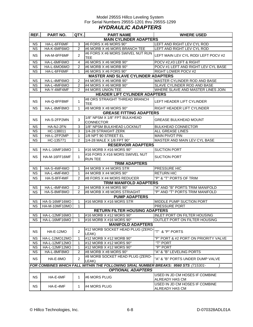#### Model 2955S Hillco Leveling System For Serial Numbers 2955S-1201 thru 2955S-1299 *HYDRAULIC ADAPTERS*

| REF.      | PART NO.                                                                 | QTY.           | <b>PART NAME</b>                                                                    | <b>WHERE USED</b>                                |  |  |  |  |  |  |
|-----------|--------------------------------------------------------------------------|----------------|-------------------------------------------------------------------------------------|--------------------------------------------------|--|--|--|--|--|--|
|           | <b>MAIN CYLINDER ADAPTERS</b>                                            |                |                                                                                     |                                                  |  |  |  |  |  |  |
| <b>NS</b> | HA-L-6FF6MF                                                              | 3              | #6 FORS X #6 MORS 90°                                                               | LEFT AND RIGHT LEV CYL ROD                       |  |  |  |  |  |  |
| <b>NS</b> | HA-K-6MF6MO                                                              | 2              | #6 MORB X #6 MORS BRANCH TEE                                                        | LEFT AND RIGHT LEV CYL ROD                       |  |  |  |  |  |  |
| <b>NS</b> | HA-M-6FF6MF                                                              | 2              | #6 FORS X #6 MORS SWIVEL NUT RUN<br><b>TEE</b>                                      | LEFT MAIN LEV CYL ROD/ LEFT POCV #2              |  |  |  |  |  |  |
| <b>NS</b> | HA-L-6MF6MO                                                              | 4              | #6 MORS X #6 MORB 90°                                                               | POCV #2,#3 LEFT & RIGHT                          |  |  |  |  |  |  |
| <b>NS</b> | HA-L-6MO6MO                                                              | $\overline{c}$ | #6 MORB X #6 MORB 90°                                                               | POCV #1 LEFT AND RIGHT LEV CYL BASE              |  |  |  |  |  |  |
| <b>NS</b> | HA-L-6FF6MF                                                              | 1              | #6 MORS X #6 FORS 90°                                                               | RIGHT LOWER POCV #2                              |  |  |  |  |  |  |
|           | <b>MASTER AND SLAVE CYLINDER ADAPTERS</b>                                |                |                                                                                     |                                                  |  |  |  |  |  |  |
| <b>NS</b> | HA-L-4MF6MO                                                              | 2              | #4 MORS X #6 MORB 90°                                                               | MASTER CYLINDER ROD AND BASE                     |  |  |  |  |  |  |
| <b>NS</b> | HA-L-4MF6MO                                                              | $\overline{2}$ | #4 MORS X #6 MORB 90 $^{\circ}$                                                     | SLAVE CYLINDER ROD AND BASE                      |  |  |  |  |  |  |
| NS.       | HA-Y-4MF4MF                                                              | 2              | #4 MORS UNION TEE                                                                   | WHERE SLAVE AND MASTER LINES JOIN                |  |  |  |  |  |  |
|           |                                                                          |                | <b>HEADER LIFT CYLINDER ADAPTERS</b>                                                |                                                  |  |  |  |  |  |  |
| <b>NS</b> | HA-Q-8FF8MF                                                              | 1              | #8 ORS STRAIGHT THREAD BRANCH<br><b>TEE</b>                                         | LEFT HEADER LIFT CYLINDER                        |  |  |  |  |  |  |
| <b>NS</b> | HA-L-8MF8MO                                                              | 1              | #8 MORB $X$ #8 MORS 90 $^{\circ}$                                                   | <b>RIGHT HEADER LIFT CYLINDER</b>                |  |  |  |  |  |  |
|           |                                                                          |                | <b>GREASE FITTING ADAPTERS</b>                                                      |                                                  |  |  |  |  |  |  |
|           |                                                                          |                | 1/8" NPSM X 1/8" FPT BULKHEAD                                                       |                                                  |  |  |  |  |  |  |
| <b>NS</b> | HA-S-2FP2MN                                                              | 3              | <b>CONNECTOR</b>                                                                    | GREASE BULKHEAD MOUNT                            |  |  |  |  |  |  |
| <b>NS</b> | HA-NJ-2FN                                                                | 3              | 1/8" NPSM BULKHEAD LOCKNUT                                                          | <b>BULKHEAD CONNECTOR</b>                        |  |  |  |  |  |  |
| <b>NS</b> | HC-138011                                                                | 3              | 1/4-28 STRAIGHT ZERK                                                                | <b>ALL GREASE LINES</b>                          |  |  |  |  |  |  |
| <b>NS</b> | HA-L-2FP2MP                                                              | $\mathbf 1$    | 1/8 NPT 90 STREET EL                                                                | <b>MAIN PIVOT PIN</b>                            |  |  |  |  |  |  |
| <b>NS</b> | HC-135771                                                                | $\overline{2}$ | 1/4-28 MALE X 1/8 FPT 90°                                                           | MASTER AND MAIN LEV CYL BASE                     |  |  |  |  |  |  |
|           |                                                                          |                | <b>RESERVOIR ADAPTERS</b>                                                           |                                                  |  |  |  |  |  |  |
| NS.       | HA-L-16MF16MO                                                            | 1              | #16 MORB X #16 MORS 90°                                                             | <b>SUCTION PORT</b>                              |  |  |  |  |  |  |
| <b>NS</b> | HA-M-16FF16MF                                                            | $\mathbf{1}$   | #16 FORS X #16 MORS SWIVEL NUT<br><b>RUN TEE</b>                                    | <b>SUCTION PORT</b>                              |  |  |  |  |  |  |
|           |                                                                          |                | <b>TRIM ADAPTERS</b>                                                                |                                                  |  |  |  |  |  |  |
| <b>NS</b> | HA-S-4MF4MO                                                              | 1              | #4 MORB X #4 MORS STR                                                               | PRESSURE HIC                                     |  |  |  |  |  |  |
| <b>NS</b> | HA-L-4MF4MO                                                              | $\mathbf{1}$   | #4 MORB X #4 MORS 90°                                                               | <b>RETURN HIC</b>                                |  |  |  |  |  |  |
| <b>NS</b> | "P" & "T" PORTS OF TRIM<br>HA-S-8FF4MF<br>2<br>#8 FORS X #4 MORS REDUCER |                |                                                                                     |                                                  |  |  |  |  |  |  |
|           | <b>TRIM MANIFOLD ADAPTERS</b>                                            |                |                                                                                     |                                                  |  |  |  |  |  |  |
| <b>NS</b> | HA-L-4MF4MO                                                              | 2              | #4 MORB X #4 MORS 90°                                                               | "A" AND "B" PORTS TRIM MANIFOLD                  |  |  |  |  |  |  |
| <b>NS</b> | HA-S-8MF8MO                                                              | $\mathfrak{p}$ | #8 MORB X #8 MORS STRIAGHT                                                          | "P" AND "T" PORTS TRIM MANIFOLD                  |  |  |  |  |  |  |
|           |                                                                          |                | <b>PUMP ADAPTERS</b>                                                                |                                                  |  |  |  |  |  |  |
| <b>NS</b> | HA-S-16MF16MO                                                            | 1              | #16 MORB X #16 MORS STR                                                             | <b>MIDDLE PUMP SUCTION PORT</b>                  |  |  |  |  |  |  |
| <b>NS</b> | HA-M-10MF10MO                                                            | $\mathbf{1}$   |                                                                                     | <b>PRESSURE PORT</b>                             |  |  |  |  |  |  |
|           |                                                                          |                | <b>RETURN FILTER HOUSING ADAPTERS</b>                                               |                                                  |  |  |  |  |  |  |
|           | NS HA-L-12MF16MO                                                         | 1              | #16 MORB X #12 MORS 90°                                                             | INI FT PORT ON FILTER HOUSING                    |  |  |  |  |  |  |
| NS.       | HA-L-16MF16MO                                                            | 1              | #16 MORB X #16 MORS 90°                                                             | OUTLET PORT ON FILTER HOUSING                    |  |  |  |  |  |  |
|           |                                                                          |                | <b>MANIFOLD ADAPTERS</b>                                                            |                                                  |  |  |  |  |  |  |
| <b>NS</b> | <b>HA-E-12MO</b>                                                         | 2              | #12 MORB SOCKET HEAD PLUG (ZERO-<br>LEAK)                                           | "T" & "P" PORTS                                  |  |  |  |  |  |  |
| <b>NS</b> | HA-L-12MO12MO                                                            | 1              | #12 MORB X #12 MORB 90°                                                             | "P" PORT & #2 PORT ON PRIORITY VALVE             |  |  |  |  |  |  |
| <b>NS</b> | HA-L-12MF12MO                                                            | 1              | #12 MORB X #12 MORS 90°                                                             | "T" PORT                                         |  |  |  |  |  |  |
| <b>NS</b> | HA-L-12MF12MO                                                            | 1              | #12 MORB X #12 MORS 90°                                                             | "P" PORT                                         |  |  |  |  |  |  |
| <b>NS</b> | HA-L-8MF8MO                                                              | 2              | #8 MORB X #8 MORS 90°                                                               | "A" & "B" LEVELING PORTS                         |  |  |  |  |  |  |
| <b>NS</b> | HA-E-8MO                                                                 | $\overline{2}$ | #8 MORB SOCKET HEAD PLUG (ZERO-<br>LEAK)                                            | "A" & "B" PORTS UNDER DUMP VALVE                 |  |  |  |  |  |  |
|           |                                                                          |                | FOR COMBINES WHICH FALL WITHIN THE FOLLOWING SRIAL NUMBER BREAKS: 9560 STS (715301- |                                                  |  |  |  |  |  |  |
|           |                                                                          |                | <b>OPTIONAL ADAPTERS</b>                                                            |                                                  |  |  |  |  |  |  |
| NS.       | HA-E-6MF                                                                 | 1              | #6 MORS PLUG                                                                        | USED IN JD CM HOSES IF COMBINE<br>ALREADY HAS CM |  |  |  |  |  |  |
| <b>NS</b> | HA-E-4MF                                                                 | 1              | #4 MORS PLUG                                                                        | USED IN JD CM HOSES IF COMBINE<br>ALREADY HAS CM |  |  |  |  |  |  |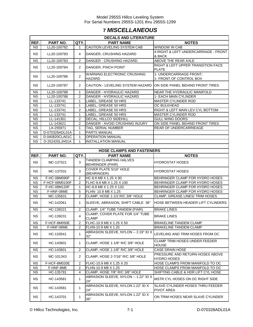# **7** *MISCELLANEOUS*

|                        | <b>DECALS AND LITERATURE</b> |                |                                                                    |                                                       |  |  |  |  |  |
|------------------------|------------------------------|----------------|--------------------------------------------------------------------|-------------------------------------------------------|--|--|--|--|--|
| REF.                   | PART NO.                     | QTY.           | <b>PART NAME</b>                                                   | <b>NOTES</b>                                          |  |  |  |  |  |
| <b>NS</b>              | LL20-100782                  | 1              | CAUTION LEVELING SYSTEM CAB                                        | <b>WINDOW IN CAB</b>                                  |  |  |  |  |  |
| <b>NS</b>              | LL20-100783                  | 4              | DANGER, CRUSHING HAZARD                                            | 4-RIGHT & LEFT UNDERCARRIAGE - FRONT                  |  |  |  |  |  |
|                        |                              |                |                                                                    | & BACK                                                |  |  |  |  |  |
| <b>NS</b>              | LL20-100783                  | $\overline{2}$ | DANGER - CRUSHING HAZARD                                           | ABOVE THE REAR AXLE                                   |  |  |  |  |  |
|                        |                              |                |                                                                    | RIGHT & LEFT UPPER TRANSITION FACE                    |  |  |  |  |  |
| NS.                    | LL20-100784                  | $\overline{2}$ | DANGER, PINCH POINT                                                | PLATE                                                 |  |  |  |  |  |
|                        |                              |                | <b>WARNING ELECTRONIC CRUSHING</b>                                 | 1- UNDERCARRIAGE FRONT;                               |  |  |  |  |  |
| <b>NS</b>              | LL20-100786                  | $\overline{2}$ | HAZARD                                                             | 1- FRONT OF CONTROL BOX                               |  |  |  |  |  |
| NS.                    | LL20-100787                  | $\overline{2}$ | CAUTION - LEVELING SYSTEM HAZARD ION SIDE PANEL BEHIND FRONT TIRES |                                                       |  |  |  |  |  |
| <b>NS</b>              | LL20-100788                  | 1              | DANGER - HYDRAULIC HAZARD                                          | NEAR THE HYDRAULIC MANIFOLD                           |  |  |  |  |  |
| <b>NS</b>              | LL20-100788                  | $\overline{2}$ | DANGER - HYDRAULIC HAZARD                                          | 1- EACH MAIN CYLINDER                                 |  |  |  |  |  |
| <b>NS</b>              | LL-133741                    | $\mathbf{1}$   | LABEL, GREASE 50 HRS                                               | MASTER CYLINDER ROD                                   |  |  |  |  |  |
| <b>NS</b>              | LL-133741                    | 1              | LABEL, GREASE 50 HRS                                               | OC BULKHEAD                                           |  |  |  |  |  |
| <b>NS</b>              | LL-133741                    | $\overline{2}$ | LABEL, GREASE 50 HRS                                               | RIGHT & LEFT MAIN LEV CYL BOTTOM                      |  |  |  |  |  |
| <b>NS</b>              | LL-133741                    | 1              | LABEL, GREASE 50 HRS                                               | <b>MASTER CYLINDER ROD</b>                            |  |  |  |  |  |
| <b>NS</b>              | LL-141301                    | $\overline{c}$ | DECAL, HILLCO SIDEHILL                                             | <b>GULL WING DOORS</b>                                |  |  |  |  |  |
|                        |                              |                |                                                                    | ON SIDE PANEL BEHIND FRONT TIRES                      |  |  |  |  |  |
| <b>NS</b>              | LL-143621                    | $\mathbf{2}$   | DANGER - AVOID CRUSHING INJURY                                     |                                                       |  |  |  |  |  |
| <b>NS</b>              | LA-255971                    | 1              | TAG. SERIAL NUMBER                                                 | REAR OF UNDERCARRIEAGE                                |  |  |  |  |  |
| <b>NS</b>              | D-070328ADL01A               | $\mathbf{1}$   | PARTS MANUAL                                                       |                                                       |  |  |  |  |  |
| <b>NS</b>              | D-040820CLA01C               | $\mathbf{1}$   | <b>OPERATION MANUAL</b>                                            |                                                       |  |  |  |  |  |
| <b>NS</b>              | D-252420LJH01A               | 1              | <b>INSTALLATION MANUAL</b>                                         |                                                       |  |  |  |  |  |
|                        |                              |                |                                                                    |                                                       |  |  |  |  |  |
|                        |                              |                | <b>HOSE CLAMPS AND FASTENERS</b>                                   |                                                       |  |  |  |  |  |
| REF.                   | PART NO.                     | QTY.           | <b>PART NAME</b>                                                   | <b>NOTES</b>                                          |  |  |  |  |  |
| <b>NS</b>              | MC-137521                    | 3              | <b>TANDEM CLAMPING HALVES</b><br><b>BEHRINGER (PAIR)</b>           | <b>HYDROSTAT HOSES</b>                                |  |  |  |  |  |
| <b>NS</b>              | MC-137531                    | 3              | COVER PLATE 5/16" HOLE<br>(BEHRINGER)                              | HYDROSTAT HOSES                                       |  |  |  |  |  |
| <b>NS</b>              | F-HC-08M090F                 | $\overline{c}$ | HC-8.8 M8 X 1.25 X 90                                              | BEHRINGER CLAMP FOR HYDRO HOSES                       |  |  |  |  |  |
| <b>NS</b>              | F-HCF-08M0100F               | $\overline{2}$ | FLHC-8.8 M8 X 1.25 X 100                                           | BEHRINGER CLAMP FOR HYDRO HOSES                       |  |  |  |  |  |
| <b>NS</b>              | F-HC-08M120F                 | $\mathbf{1}$   | HC-8.8 M8 X 1.25 X 120                                             | BEHRINGER CLAMP FOR HYDRO HOSES                       |  |  |  |  |  |
| $\overline{\text{NS}}$ | F-HNF-08ME                   | 5              | FLHN- 10.9 M8 X 1.25                                               | BEHRINGER CLAMP FOR HYDRO HOSES                       |  |  |  |  |  |
| <b>NS</b>              | MC-135631                    | $\overline{2}$ | CLAMP, HOSE 1-1/2 R/C 3/8" HOLE                                    | CLAMP, GREASE LINES/ TRIM HOSES                       |  |  |  |  |  |
| <b>NS</b>              | HC-142061                    | $\mathbf{1}$   | SLEEVE, ABRASION, SHIFT CABLE 36"                                  | HOSE BETWEEN HEADER LIFT CYLINDERS                    |  |  |  |  |  |
| <b>NS</b>              | HC-139221                    | $\overline{2}$ | CLAMP, 1/4" TUBE TANDEM (PAIR)                                     | <b>BRAKE LINES</b>                                    |  |  |  |  |  |
|                        |                              |                | CLAMP, COVER PLATE FOR 1/4" TUBE                                   |                                                       |  |  |  |  |  |
| NS.                    | HC-139231                    | 4              | <b>CLAMP</b>                                                       | <b>BRAKE LINES</b>                                    |  |  |  |  |  |
| <b>NS</b>              | F-HCF-8M050E                 | 2              | FLHC-10.9 M8 X 1.25 X 50                                           | <b>BRAKELINE TANDEM CLAMP</b>                         |  |  |  |  |  |
| <b>NS</b>              | F-HNF-08ME                   | $\overline{2}$ | FLHN-10.9 M8 X 1.25                                                | <b>BRAKELINE TANDEM CLAMP</b>                         |  |  |  |  |  |
| <b>NS</b>              | HC-133541                    | $\mathbf{1}$   | ABRASION SLEEVE, NYLON -- 2.19" ID X<br>32"                        | LEVELING AND TRIM HOSES FROM OC                       |  |  |  |  |  |
| <b>NS</b>              | HC-143601                    | $\mathbf{1}$   | CLAMP, HOSE 1-1/8" R/C 3/8" HOLE                                   | CLAMP TRIM HOSES UNDER FEEDER<br><b>HOUSE</b>         |  |  |  |  |  |
| <b>NS</b>              | HC-143601                    | 2              | CLAMP, HOSE 1-1/8" R/C 3/8" HOLE                                   | <b>CASE DRAIN HOSE</b>                                |  |  |  |  |  |
| <b>NS</b>              | MC-101343                    | $\overline{2}$ | CLAMP, HOSE 2-7/16" R/C 3/8" HOLE                                  | PRESSURE AND RETURN HOSES ABOVE<br><b>HYDRO HOSES</b> |  |  |  |  |  |
| <b>NS</b>              | F-HCF-8M020E                 | $\overline{2}$ | FLHC-10.9 M8 X 1.25 X 20                                           | HOSE CLAMPS FROM MANIFOLD TO OC                       |  |  |  |  |  |
| <b>NS</b>              | F-HNF-8ME                    | $\overline{2}$ | FLHN-10.9 M8 X 1.25                                                | HOSE CLAMPS FROM MANIFOLD TO OC                       |  |  |  |  |  |
| NS.                    | HC-135791                    | 4              | CLAMP, HOSE 7/8" R/C 3/8" HOLE                                     | SHIFTING CABLE & HDR LIFT CYL HOSE                    |  |  |  |  |  |
| <b>NS</b>              | HC-143581                    | $\mathbf{1}$   | ABRASION SLEEVE, NYLON -- 1.22" ID X<br>24"                        | MSTR CYL HOSES ON OC RIGHT SIDE                       |  |  |  |  |  |
| <b>NS</b>              | HC-143581                    | $\mathbf{1}$   | ABRASION SLEEVE, NYLON 1.22" ID X<br>24"                           | SLAVE CYLINDER HOSES THRU FEEDER<br>PIVOT AREA        |  |  |  |  |  |
| <b>NS</b>              | HC-143701                    | $\mathbf{1}$   | ABRASION SLEEVE, NYLON 1.22" ID X<br>36"                           | ON TRIM HOSES NEAR SLAVE CYLINDER                     |  |  |  |  |  |

© Hillco Technologies, Inc. 2008 2010 7-1 2009 7-1 D-070328ADL01A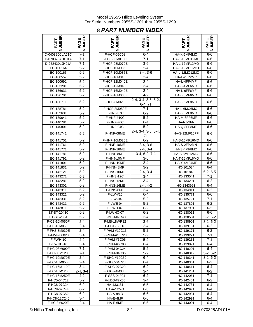# **8** *PART NUMBER INDEX*

| <b>IBER</b><br>ART        | <b>BER</b><br>AGE |
|---------------------------|-------------------|
| D-040820CLA01C            | 7-1               |
| D-070328ADL01A            | $7 - 1$           |
| D-252420LJH01A            | $7 - 1$           |
|                           |                   |
| EC-100164                 | $5 - 2$           |
| EC-100165                 | $5 - 2$           |
| EC-100557                 | $5 - 2$           |
| EC-100692                 | $5 - 2$           |
| EC-133281                 | $5-2$             |
| EC-136631                 | $5 - 2$           |
| EC-136701                 | 5-2               |
| EC-136711                 | 5-2               |
| EC-138781                 | $5 - 2$           |
|                           | $5 - 2$           |
| EC-139631                 |                   |
| EC-139641                 | $5 - 2$           |
| EC-140781                 | $5 - 2$           |
| EC-140801                 | $5 - 2$           |
| EC-141741                 | $5 - 2$           |
| EC-141751                 | $5 - 2$           |
| EC-141761                 | $5 - 2$           |
| EC-141771                 | $5 - 2$           |
| EC-141781                 | $5 - 2$           |
| EC-141791                 | $5-2$             |
| EC-141801                 | 5-2               |
| EC-141831                 | $5 - 2$           |
| EC-142121                 | 5-2               |
| EC-143271                 | <u>5-2</u>        |
| EC-143281                 | 5-2               |
| EC-143301                 | $5 - 2$           |
| EC-143311                 | $5 - 2$           |
|                           |                   |
| EC-143321                 | 5-2               |
| EC-143331                 | $5-2$             |
| EC-143421                 | $5 - 2$           |
| EC-143811                 | $5 - 2$           |
| ET-ST-20#10               | 5-2               |
| T-ST-2004<br>E            | $\cdot$ 2<br>5.   |
| F-CB-10M050F              | $2 - 4$           |
| F-CB-16M050E              | 2-4               |
| F-FHS-8M030E              | 2-4               |
| F-FWF-06020               | 3-4               |
| F-FWH-10                  | 4-2               |
| F-FWHD-10                 | $3 - 4$           |
|                           | 7-1               |
| F-HC-08M090F              |                   |
| 2-08M120F<br>F-HC         | $7 - 1$           |
| F-HC-10M070E              | 2-4               |
| F-HC-16M050E              | $2 - 4$           |
| F-HC-16M110E              | $3 - 4$           |
| F-HC-16M120E              | $2-4, 3-4$        |
| F-HC-16M250E              | $4-2$             |
| F-HC5-04C12               | 5-2               |
| $\overline{F}$ -HC8-07C24 | $6 - 2$           |
| F-HC8-07C44               | $6 - 2$           |
| F-HC8-07C52               | $6 - 2$           |
| F-HC8-12C240              | 3-4               |
| F-HC-8M020F               | $2 - 4$           |

| <b>NUMBER</b><br>PART       | PAGE<br>NUMBER     | NUMBER<br>PART        | <b>PAGE</b><br>NUMBER            | <b>NUMBER</b><br>PART  | <b>PAGE<br/>NUMBER</b> |
|-----------------------------|--------------------|-----------------------|----------------------------------|------------------------|------------------------|
| D-040820CLA01C              | $7 - 1$            | F-HCF-05C08           | $6 - 4$                          | HA-K-6MF6MO            | 6-6                    |
| D-070328ADL01A              | 7-1                | F-HCF-08M0100F        | 7-1                              | HA-L-10MO12MF          | 6-6                    |
| D-252420LJH01A              | 7-1                | F-HCF-08M070E         | 3-6                              | HA-L-12MF12MO          | 6-6                    |
| EC-100164                   | $5-2$              | F-HCF-10M035E         | $2 - 4$                          | HA-L-12MF16MO          | 6-6                    |
| EC-100165                   | 5-2                | F-HCF-10M035E         | $3-4, 3-6$                       | HA-L-12MO12MO          | 6-6                    |
| EC-100557                   | $5 - 2$            | F-HCF-10M040E         | $3 - 4$                          | HA-L-2FP2MP            | 6-6                    |
| EC-100692                   | $5 - 2$            | F-HCF-12M040E         | $2 - 4$                          | HA-L-4FF4MF            | 6-6                    |
| EC-133281                   | $5 - 2$            | F-HCF-12M040F         | 3-4                              | HA-L-4MF6MO            | 6-6                    |
| EC-136631                   | $5 - 2$            | F-HCF-16M040E         | $2 - 4$                          | HA-L-6FF6MF            | $6-6$                  |
| EC-136701                   | $5 - 2$            | F-HCF-16M060E         | $4 - 2$                          | HA-L-6MF6MO            | 6-6                    |
| EC-136711                   | $5 - 2$            | F-HCF-8M020E          | 2-4, 3-4, 3-6, 6-2,<br>$6-4, 71$ | HA-L-6MF8MO            | 6-6                    |
| EC-138781                   | 5-2                | F-HCF-8M050E          | $7 - 1$                          | HA-L-6MO6MO            | 6-6                    |
| EC-139631                   | $5 - 2$            | <b>F-HN8-07C</b>      | 6-2                              | HA-L-8MF8MO            | 6-6                    |
| EC-139641                   | $5 - 2$            | <b>F-HNF-#10C</b>     | 5-2                              | HA-M-6FF6MF            | 6-6                    |
| EC-140781                   | $5 - 2$            | F-HNF-#6C             | $6 - 4$                          | HA-NJ-2FN              | 6-6                    |
| EC-140801                   | $5 - 2$            | F-HNF-04C             | $5 - 2$                          | HA-Q-8FF8MF            | 6-6                    |
| EC-141741                   | 5-2                | F-HNF-08ME            | 2-4, 3-4, 3-6, 6-4,<br>71        | HA-S-12MF16FF          | 6-6                    |
| EC-141751                   | $5 - 2$            | F-HNF-10M020E         | $6 - 2$                          | <b>HA-S-16MF16MO</b>   | 6-6                    |
| EC-141761                   | 5-2                | F-HNF-10ME            | $3-4, 3-6$                       | HA-S-2FP2MN            | 6-6                    |
| EC-141771                   | $5 - 2$            | F-HNF-16ME            | $2-4, 3-4$                       | HA-S-4MF8MO            | 6-6                    |
| EC-141781                   | $5 - 2$            | F-HNF-8ME             | $3-4, 6-2, 7-1$                  | HA-S-8MF12MO           | 6-6                    |
| EC-141791                   | 5-2                | F-HNJ-10MF            | 3-6                              | HA-T-16MF16MO          | 6-6                    |
| EC-141801                   | 5-2                | F-HNN-10MF            | 2-4                              | HA-Y-4MF4MF            | 6-6                    |
| EC-141831                   | $5 - 2$            | F-HNN-8MF             | $3 - 2$                          | HC-101034              | $6 - 4$                |
| EC-142121                   | $5 - 2$            | F-HNS-10ME            | $2-4, 3-4$                       | HC-101843              | $6-2, 6-5$             |
| EC-143271                   | 5-2                | F-HNS-12C             | $3 - 4$                          | HC-133541              | 7-1                    |
| EC-143281                   | $5 - 2$            | F-HNS-12ME            | $3 - 4$                          | HC-134201              | $6 - 2$                |
| EC-143301                   | 5-2                | F-HNS-16ME            | $2-4, 4-2$                       | HC-1343991             | 6-4                    |
| EC-143311<br>EC-143321      | $5 - 2$<br>$5 - 2$ | F-HNS-8ME<br>F-LW-#10 | 2-4                              | HC-134911<br>HC-135771 | $6 - 2$<br>$6-6$       |
| EC-143331                   | $5 - 2$            | F-LW-04               | 6-4<br>$5 - 2$                   | HC-135791              | $7 - 1$                |
| EC-143421                   | $5 - 2$            | F-LWE-04              | $5 - 2$                          | HC-137891              | $6 - 2$                |
| EC-143811                   | $5 - 2$            | <b>F-LWH-07</b>       | $6 - 2$                          | HC-137901              | $6 - 2$                |
| ET-ST-20#10                 | $5 - 2$            | F-LWHC-07             | $6 - 2$                          | HC-138011              | 6-6                    |
| ET-ST-2004                  | $5 - 2$            | F-MB-14NR40           | $2 - 4$                          | HC-138581              | $2-2, 6-2$             |
| F-CB-10M050F                | 2-4                | F-MB-18WR12           | 3-6                              | HC-138901              | $3-2, 6-2$             |
| F-CB-16M050E                | 2-4                | F-PCT-02X16           | 2-4                              | HC-139161              | 6-2                    |
| F-FHS-8M030E                | $2 - 4$            | F-PHM-#10C16          | $5-2$                            | HC-139171              | $6 - 2$                |
| F-FWF-06020                 | 3-4                | F-PHM-#10C28          | 5-2                              | HC-139221              | 7-1                    |
| F-FWH-10                    | 4-2                | F-PHM-#6C06           | 5-2                              | HC-139231              | 7-1                    |
| F-FWHD-10                   | $3 - 4$            | F-PHM-#6C08           | 6-4                              | HC-139871              | 6-4                    |
| F-HC-08M090F                | 7-1                | F-PHM-04C24           | $5 - 2$                          | HC-140291              | 6-4                    |
| F-HC-08M120F                | 7-1                | F-PHM-04C36           | 5-2                              | HC-140312              | $3-2, 6-2$             |
| F-HC-10M070E                | $2 - 4$            | F-SHC-#10C32          | 6-4                              | HC-140341              | $3-2, 6-2$             |
| F-HC-16M050E                | 2-4                | F-SHC-04C28           | 6-4                              | HC-140361              | 6-2                    |
| F-HC-16M110E                | 3-4                | F-SHC-07C20           | $6 - 2$                          | HC-140411              | 6-4                    |
| F-HC-16M120E                | $2-4, 3-4$         | F-SHC-24M080E         | 3-4                              | HC-141281              | 6-2                    |
| F-HC-16M250E                | 4-2                | F-SSS-04F04           | $6 - 2$                          | HC-142061              | 7-1                    |
| F-HC5-04C12                 | $5 - 2$            | F-UDS-#7X06           | $3 - 4$                          | HC-142451              | 6-2                    |
| F-HC8-07C24                 | $6 - 2$            | HA-133131             | $6-5$                            | HC-142731              | 6-4                    |
| F-HC8-07C44                 | 6-2                | HA-A-12MO             | 6-6                              | HC-142971              | 6-4                    |
| F-HC8-07C52                 | $6 - 2$<br>3-4     | HA-A-8MO              | 6-6<br>6-6                       | HC-142981              | 6-4<br>6-4             |
| F-HC8-12C240<br>F-HC-8M020E | $2 - 4$            | HA-E-4MF<br>HA-E-6MF  | 6-6                              | HC-142991<br>HC-143001 | $6 - 4$                |
|                             |                    |                       |                                  |                        |                        |

| <b>IMBER</b><br>PAGE          | <b>JMBER</b><br>PART | PAGE<br>JUMBER        |
|-------------------------------|----------------------|-----------------------|
| $6 - 4$                       | HA-K-6MF6MO          | $6-6$                 |
| $7 - 1$                       | HA-L-10MO12MF        | $6-6$                 |
| $3-6$                         | HA-L-12MF12MO        | $6-6$                 |
| $2 - 4$                       | HA-L-12MF16MO        | 6-6                   |
| $3-4, 3-6$                    | HA-L-12MO12MO        | 6-6                   |
| $3-4$                         | HA-L-2FP2MP          | $6-6$                 |
| $2 - 4$                       | HA-L-4FF4MF          | 6-6                   |
| $3 - 4$                       | HA-L-4MF6MO          |                       |
| $2 - 4$                       | HA-L-6FF6MF          | 6-6                   |
| $4-2$                         | HA-L-6MF6MO          | $6-6$                 |
|                               |                      | $6-6$                 |
| $3-4, 3-6, 6-2,$<br>$6-4, 71$ | HA-L-6MF8MO          | $6-6$                 |
| $7 - 1$                       | HA-L-6MO6MO          | $6-6$                 |
| 6-2                           | HA-L-8MF8MO          | $6-6$                 |
| $5 - 2$                       | HA-M-6FF6MF          | 6-6                   |
| 6-4                           | HA-NJ-2FN            | 6-6                   |
| -5-2                          | HA-Q-8FF8MF          | $6-6$                 |
| 3-4, 3-6, 6-4,<br>71          | HA-S-12MF16FF        | $6-6$                 |
| $6 - 2$                       | HA-S-16MF16MO        | $6-6$                 |
| 3-4, 3-6                      | HA-S-2FP2MN          |                       |
| $2-4, 3-4$                    | HA-S-4MF8MO          | 6-6                   |
|                               |                      | 6-6                   |
| 4, 6-2, 7-1                   | HA-S-8MF12MO         | $6-6$                 |
| $3-6$                         | HA-T-16MF16MO        | 6-6                   |
| $2 - 4$                       | HA-Y-4MF4MF          | 6-6                   |
| $3-2$                         | HC-101034            | $6 - 4$               |
| $\overline{2-4}$ , 3-4        | HC-101843            | $6-2, 6-5$            |
| $3 - 4$                       | HC-133541            | $7 - 1$               |
| $3 - 4$                       | HC-134201            | 6-2                   |
| 2-4, 4-2                      | HC-1343991           | $6 - 4$               |
| $2 - 4$                       | HC-134911            | $6 - 2$               |
| $6 - 4$                       | HC-135771            | 6-6                   |
| $5-2$                         | HC-135791            | $7 - 1$               |
| $5 - 2$                       | HC-137891            | $6 - 2$               |
| $6 - 2$                       | HC-137901            | $6 - 2$               |
| $6 - 2$                       | HC-138011            | $6-6$                 |
| $\overline{2-4}$              | HC-138581            | $2-2, 6-2$            |
| $3-6$                         | HC-138901            | $3-2, 6-2$            |
| $2 - 4$                       | HC-139161            | 6-2                   |
| $5-2$                         | HC-139171            | 6-2                   |
| 5-2                           | HC-139221            | 7-1                   |
| $5 - 2$                       | HC-139231            | $7 - 1$               |
| $6 - 4$                       | HC-139871            | $6 - 4$               |
| $5 - 2$                       | HC-140291            | $6 - 4$               |
| 5-2                           | HC-140312            | $3-2, 6-2$            |
| 6-4                           | HC-140341            |                       |
|                               |                      | $3-2, 6-2$<br>$6 - 2$ |
| 6-4                           | HC-140361            |                       |
| 6-2                           | HC-140411            | $6 - 4$               |
| $3 - 4$                       | HC-141281            | 6-2                   |
| $6 - 2$                       | HC-142061            | $7 - 1$               |
| $3 - 4$                       | HC-142451            | 6-2                   |
| $6 - 5$                       | HC-142731            | 6-4                   |
| 6-6                           | HC-142971            | $6 - 4$               |
| 6-6                           | HC-142981            | 6-4                   |
| 6-6                           | HC-142991            | 6-4                   |
| 6-6                           | HC-143001            | 6-4                   |

© Hillco Technologies, Inc. 699 and 100 and 100 and 100 and 100 and 100 and 100 and 100 and 100 and 100 and 100 and 100 and 100 and 100 and 100 and 100 and 100 and 100 and 100 and 100 and 100 and 100 and 100 and 100 and 10